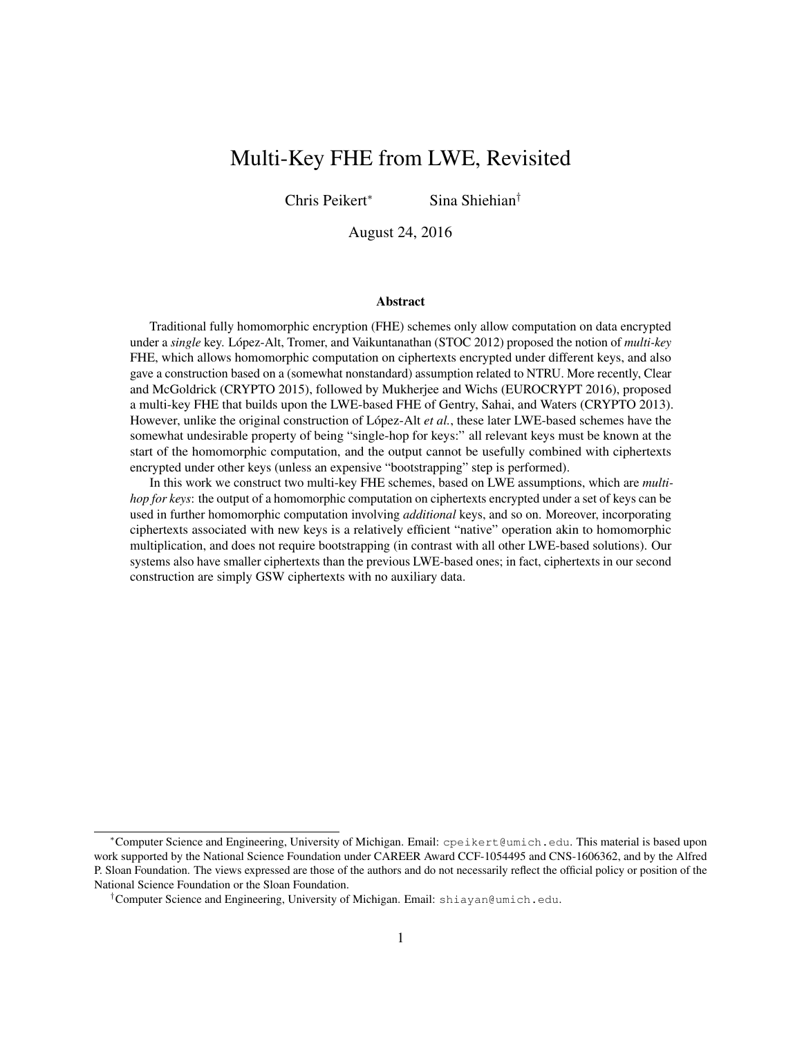# Multi-Key FHE from LWE, Revisited

Chris Peikert<sup>∗</sup> Sina Shiehian<sup>†</sup>

August 24, 2016

#### Abstract

Traditional fully homomorphic encryption (FHE) schemes only allow computation on data encrypted under a *single* key. López-Alt, Tromer, and Vaikuntanathan (STOC 2012) proposed the notion of *multi-key* FHE, which allows homomorphic computation on ciphertexts encrypted under different keys, and also gave a construction based on a (somewhat nonstandard) assumption related to NTRU. More recently, Clear and McGoldrick (CRYPTO 2015), followed by Mukherjee and Wichs (EUROCRYPT 2016), proposed a multi-key FHE that builds upon the LWE-based FHE of Gentry, Sahai, and Waters (CRYPTO 2013). However, unlike the original construction of López-Alt *et al.*, these later LWE-based schemes have the somewhat undesirable property of being "single-hop for keys:" all relevant keys must be known at the start of the homomorphic computation, and the output cannot be usefully combined with ciphertexts encrypted under other keys (unless an expensive "bootstrapping" step is performed).

In this work we construct two multi-key FHE schemes, based on LWE assumptions, which are *multihop for keys*: the output of a homomorphic computation on ciphertexts encrypted under a set of keys can be used in further homomorphic computation involving *additional* keys, and so on. Moreover, incorporating ciphertexts associated with new keys is a relatively efficient "native" operation akin to homomorphic multiplication, and does not require bootstrapping (in contrast with all other LWE-based solutions). Our systems also have smaller ciphertexts than the previous LWE-based ones; in fact, ciphertexts in our second construction are simply GSW ciphertexts with no auxiliary data.

<sup>∗</sup>Computer Science and Engineering, University of Michigan. Email: cpeikert@umich.edu. This material is based upon work supported by the National Science Foundation under CAREER Award CCF-1054495 and CNS-1606362, and by the Alfred P. Sloan Foundation. The views expressed are those of the authors and do not necessarily reflect the official policy or position of the National Science Foundation or the Sloan Foundation.

<sup>†</sup>Computer Science and Engineering, University of Michigan. Email: shiayan@umich.edu.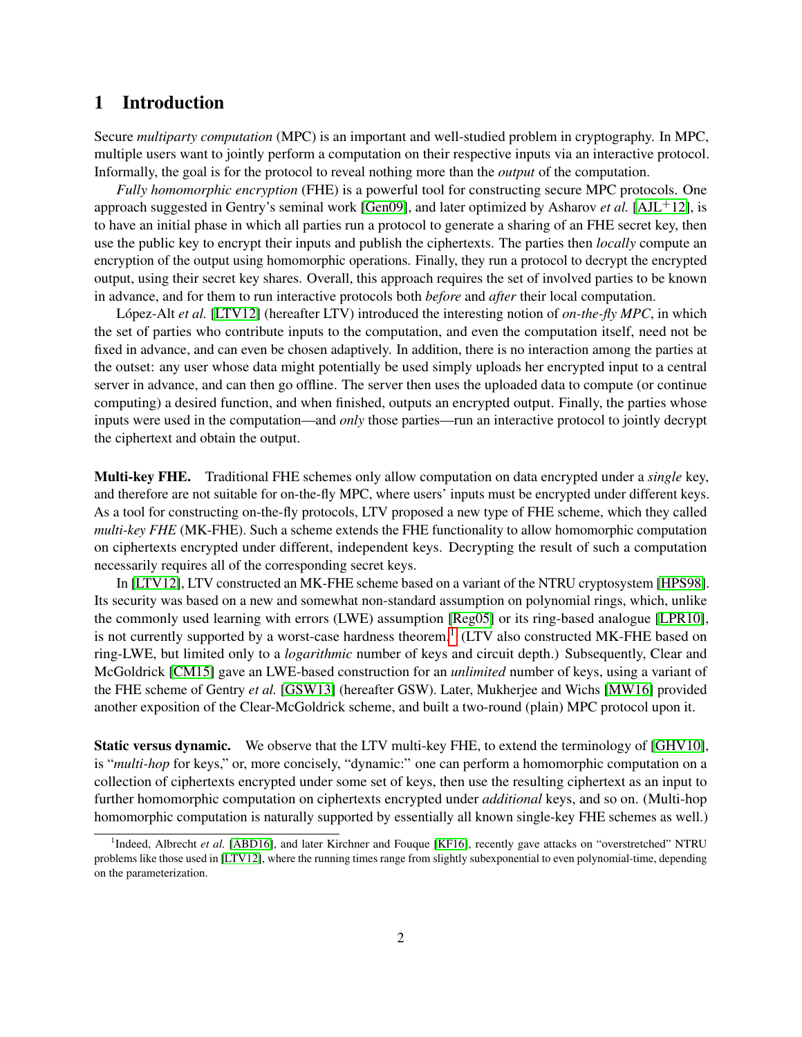# 1 Introduction

Secure *multiparty computation* (MPC) is an important and well-studied problem in cryptography. In MPC, multiple users want to jointly perform a computation on their respective inputs via an interactive protocol. Informally, the goal is for the protocol to reveal nothing more than the *output* of the computation.

*Fully homomorphic encryption* (FHE) is a powerful tool for constructing secure MPC protocols. One approach suggested in Gentry's seminal work [\[Gen09\]](#page-18-0), and later optimized by Asharov *et al.* [\[AJL](#page-17-0)+12], is to have an initial phase in which all parties run a protocol to generate a sharing of an FHE secret key, then use the public key to encrypt their inputs and publish the ciphertexts. The parties then *locally* compute an encryption of the output using homomorphic operations. Finally, they run a protocol to decrypt the encrypted output, using their secret key shares. Overall, this approach requires the set of involved parties to be known in advance, and for them to run interactive protocols both *before* and *after* their local computation.

López-Alt *et al.* [\[LTV12\]](#page-18-1) (hereafter LTV) introduced the interesting notion of *on-the-fly MPC*, in which the set of parties who contribute inputs to the computation, and even the computation itself, need not be fixed in advance, and can even be chosen adaptively. In addition, there is no interaction among the parties at the outset: any user whose data might potentially be used simply uploads her encrypted input to a central server in advance, and can then go offline. The server then uses the uploaded data to compute (or continue computing) a desired function, and when finished, outputs an encrypted output. Finally, the parties whose inputs were used in the computation—and *only* those parties—run an interactive protocol to jointly decrypt the ciphertext and obtain the output.

Multi-key FHE. Traditional FHE schemes only allow computation on data encrypted under a *single* key, and therefore are not suitable for on-the-fly MPC, where users' inputs must be encrypted under different keys. As a tool for constructing on-the-fly protocols, LTV proposed a new type of FHE scheme, which they called *multi-key FHE* (MK-FHE). Such a scheme extends the FHE functionality to allow homomorphic computation on ciphertexts encrypted under different, independent keys. Decrypting the result of such a computation necessarily requires all of the corresponding secret keys.

In [\[LTV12\]](#page-18-1), LTV constructed an MK-FHE scheme based on a variant of the NTRU cryptosystem [\[HPS98\]](#page-18-2). Its security was based on a new and somewhat non-standard assumption on polynomial rings, which, unlike the commonly used learning with errors (LWE) assumption [\[Reg05\]](#page-18-3) or its ring-based analogue [\[LPR10\]](#page-18-4), is not currently supported by a worst-case hardness theorem.<sup>[1](#page-1-0)</sup> (LTV also constructed MK-FHE based on ring-LWE, but limited only to a *logarithmic* number of keys and circuit depth.) Subsequently, Clear and McGoldrick [\[CM15\]](#page-18-5) gave an LWE-based construction for an *unlimited* number of keys, using a variant of the FHE scheme of Gentry *et al.* [\[GSW13\]](#page-18-6) (hereafter GSW). Later, Mukherjee and Wichs [\[MW16\]](#page-18-7) provided another exposition of the Clear-McGoldrick scheme, and built a two-round (plain) MPC protocol upon it.

Static versus dynamic. We observe that the LTV multi-key FHE, to extend the terminology of [\[GHV10\]](#page-18-8), is "*multi-hop* for keys," or, more concisely, "dynamic:" one can perform a homomorphic computation on a collection of ciphertexts encrypted under some set of keys, then use the resulting ciphertext as an input to further homomorphic computation on ciphertexts encrypted under *additional* keys, and so on. (Multi-hop homomorphic computation is naturally supported by essentially all known single-key FHE schemes as well.)

<span id="page-1-0"></span><sup>&</sup>lt;sup>1</sup>Indeed, Albrecht et al. [\[ABD16\]](#page-17-1), and later Kirchner and Fouque [\[KF16\]](#page-18-9), recently gave attacks on "overstretched" NTRU problems like those used in [\[LTV12\]](#page-18-1), where the running times range from slightly subexponential to even polynomial-time, depending on the parameterization.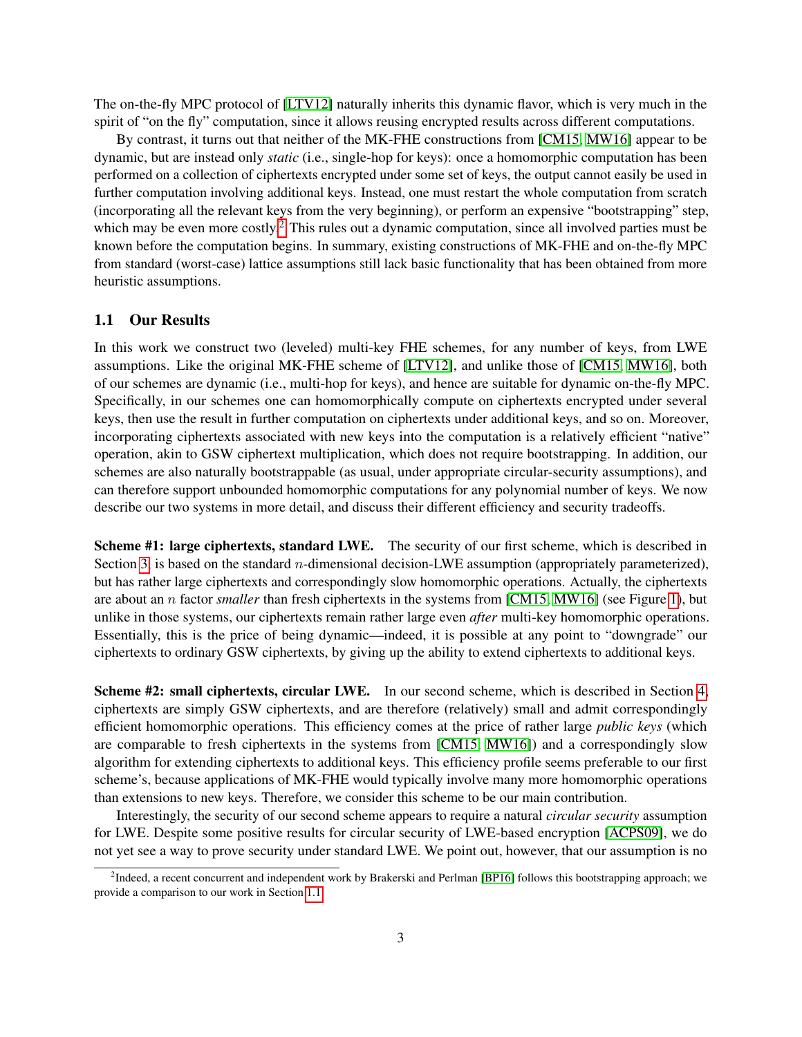The on-the-fly MPC protocol of [\[LTV12\]](#page-18-1) naturally inherits this dynamic flavor, which is very much in the spirit of "on the fly" computation, since it allows reusing encrypted results across different computations.

By contrast, it turns out that neither of the MK-FHE constructions from [\[CM15,](#page-18-5) [MW16\]](#page-18-7) appear to be dynamic, but are instead only *static* (i.e., single-hop for keys): once a homomorphic computation has been performed on a collection of ciphertexts encrypted under some set of keys, the output cannot easily be used in further computation involving additional keys. Instead, one must restart the whole computation from scratch (incorporating all the relevant keys from the very beginning), or perform an expensive "bootstrapping" step, which may be even more costly.<sup>[2](#page-2-0)</sup> This rules out a dynamic computation, since all involved parties must be known before the computation begins. In summary, existing constructions of MK-FHE and on-the-fly MPC from standard (worst-case) lattice assumptions still lack basic functionality that has been obtained from more heuristic assumptions.

## <span id="page-2-1"></span>1.1 Our Results

In this work we construct two (leveled) multi-key FHE schemes, for any number of keys, from LWE assumptions. Like the original MK-FHE scheme of [\[LTV12\]](#page-18-1), and unlike those of [\[CM15,](#page-18-5) [MW16\]](#page-18-7), both of our schemes are dynamic (i.e., multi-hop for keys), and hence are suitable for dynamic on-the-fly MPC. Specifically, in our schemes one can homomorphically compute on ciphertexts encrypted under several keys, then use the result in further computation on ciphertexts under additional keys, and so on. Moreover, incorporating ciphertexts associated with new keys into the computation is a relatively efficient "native" operation, akin to GSW ciphertext multiplication, which does not require bootstrapping. In addition, our schemes are also naturally bootstrappable (as usual, under appropriate circular-security assumptions), and can therefore support unbounded homomorphic computations for any polynomial number of keys. We now describe our two systems in more detail, and discuss their different efficiency and security tradeoffs.

Scheme #1: large ciphertexts, standard LWE. The security of our first scheme, which is described in Section [3,](#page-8-0) is based on the standard *n*-dimensional decision-LWE assumption (appropriately parameterized), but has rather large ciphertexts and correspondingly slow homomorphic operations. Actually, the ciphertexts are about an n factor *smaller* than fresh ciphertexts in the systems from [\[CM15,](#page-18-5) [MW16\]](#page-18-7) (see Figure [1\)](#page-3-0), but unlike in those systems, our ciphertexts remain rather large even *after* multi-key homomorphic operations. Essentially, this is the price of being dynamic—indeed, it is possible at any point to "downgrade" our ciphertexts to ordinary GSW ciphertexts, by giving up the ability to extend ciphertexts to additional keys.

Scheme #2: small ciphertexts, circular LWE. In our second scheme, which is described in Section [4,](#page-13-0) ciphertexts are simply GSW ciphertexts, and are therefore (relatively) small and admit correspondingly efficient homomorphic operations. This efficiency comes at the price of rather large *public keys* (which are comparable to fresh ciphertexts in the systems from [\[CM15,](#page-18-5) [MW16\]](#page-18-7)) and a correspondingly slow algorithm for extending ciphertexts to additional keys. This efficiency profile seems preferable to our first scheme's, because applications of MK-FHE would typically involve many more homomorphic operations than extensions to new keys. Therefore, we consider this scheme to be our main contribution.

Interestingly, the security of our second scheme appears to require a natural *circular security* assumption for LWE. Despite some positive results for circular security of LWE-based encryption [\[ACPS09\]](#page-17-2), we do not yet see a way to prove security under standard LWE. We point out, however, that our assumption is no

<span id="page-2-0"></span><sup>&</sup>lt;sup>2</sup>Indeed, a recent concurrent and independent work by Brakerski and Perlman [\[BP16\]](#page-18-10) follows this bootstrapping approach; we provide a comparison to our work in Section [1.1.](#page-2-1)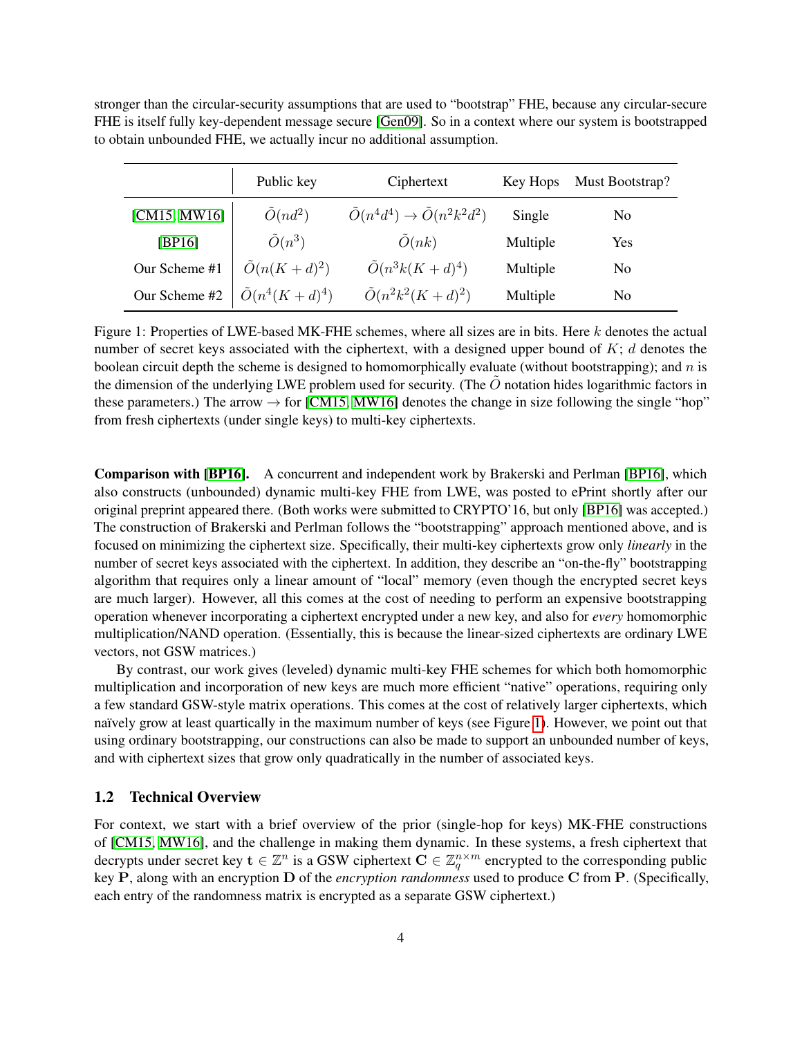stronger than the circular-security assumptions that are used to "bootstrap" FHE, because any circular-secure FHE is itself fully key-dependent message secure [\[Gen09\]](#page-18-0). So in a context where our system is bootstrapped to obtain unbounded FHE, we actually incur no additional assumption.

|               | Public key                                           | Ciphertext                                           | Key Hops | Must Bootstrap? |
|---------------|------------------------------------------------------|------------------------------------------------------|----------|-----------------|
| [CM15, MW16]  | $\tilde{O}(nd^2)$                                    | $\tilde{O}(n^4d^4) \rightarrow \tilde{O}(n^2k^2d^2)$ | Single   | No              |
| [BP16]        | $\tilde{O}(n^3)$                                     | $\tilde{O}(nk)$                                      | Multiple | Yes             |
| Our Scheme #1 | $\tilde{O}(n(K+d)^2)$                                | $\tilde{O}(n^3k(K+d)^4)$                             | Multiple | N <sub>0</sub>  |
|               | Our Scheme #2 $\left  \tilde{O}(n^4(K+d)^4) \right $ | $\tilde{O}(n^2k^2(K+d)^2)$                           | Multiple | N <sub>0</sub>  |

<span id="page-3-0"></span>Figure 1: Properties of LWE-based MK-FHE schemes, where all sizes are in bits. Here k denotes the actual number of secret keys associated with the ciphertext, with a designed upper bound of  $K$ ; d denotes the boolean circuit depth the scheme is designed to homomorphically evaluate (without bootstrapping); and  $n$  is the dimension of the underlying LWE problem used for security. (The  $\ddot{O}$  notation hides logarithmic factors in these parameters.) The arrow  $\rightarrow$  for [\[CM15,](#page-18-5) [MW16\]](#page-18-7) denotes the change in size following the single "hop" from fresh ciphertexts (under single keys) to multi-key ciphertexts.

Comparison with [\[BP16\]](#page-18-10). A concurrent and independent work by Brakerski and Perlman [\[BP16\]](#page-18-10), which also constructs (unbounded) dynamic multi-key FHE from LWE, was posted to ePrint shortly after our original preprint appeared there. (Both works were submitted to CRYPTO'16, but only [\[BP16\]](#page-18-10) was accepted.) The construction of Brakerski and Perlman follows the "bootstrapping" approach mentioned above, and is focused on minimizing the ciphertext size. Specifically, their multi-key ciphertexts grow only *linearly* in the number of secret keys associated with the ciphertext. In addition, they describe an "on-the-fly" bootstrapping algorithm that requires only a linear amount of "local" memory (even though the encrypted secret keys are much larger). However, all this comes at the cost of needing to perform an expensive bootstrapping operation whenever incorporating a ciphertext encrypted under a new key, and also for *every* homomorphic multiplication/NAND operation. (Essentially, this is because the linear-sized ciphertexts are ordinary LWE vectors, not GSW matrices.)

By contrast, our work gives (leveled) dynamic multi-key FHE schemes for which both homomorphic multiplication and incorporation of new keys are much more efficient "native" operations, requiring only a few standard GSW-style matrix operations. This comes at the cost of relatively larger ciphertexts, which naïvely grow at least quartically in the maximum number of keys (see Figure [1\)](#page-3-0). However, we point out that using ordinary bootstrapping, our constructions can also be made to support an unbounded number of keys, and with ciphertext sizes that grow only quadratically in the number of associated keys.

### 1.2 Technical Overview

For context, we start with a brief overview of the prior (single-hop for keys) MK-FHE constructions of [\[CM15,](#page-18-5) [MW16\]](#page-18-7), and the challenge in making them dynamic. In these systems, a fresh ciphertext that decrypts under secret key  $t \in \mathbb{Z}^n$  is a GSW ciphertext  $\mathbf{C} \in \mathbb{Z}_q^{n \times m}$  encrypted to the corresponding public key P, along with an encryption D of the *encryption randomness* used to produce C from P. (Specifically, each entry of the randomness matrix is encrypted as a separate GSW ciphertext.)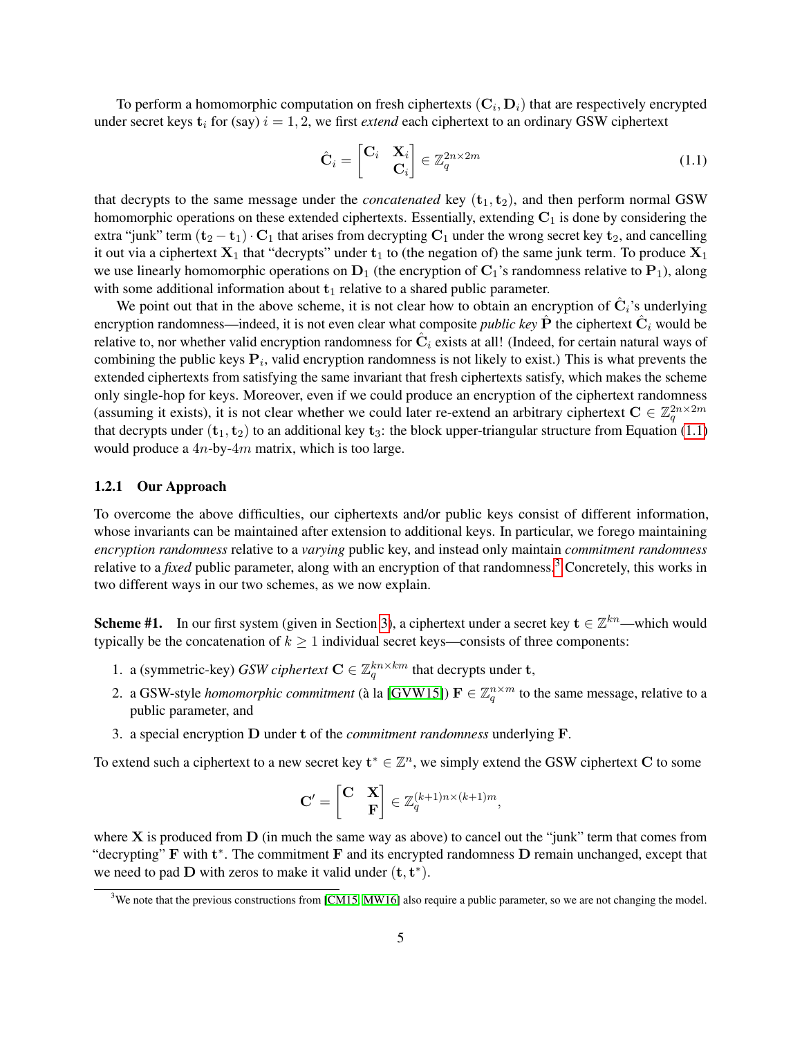To perform a homomorphic computation on fresh ciphertexts  $({\bf C}_i,{\bf D}_i)$  that are respectively encrypted under secret keys  $t_i$  for (say)  $i = 1, 2$ , we first *extend* each ciphertext to an ordinary GSW ciphertext

<span id="page-4-0"></span>
$$
\hat{\mathbf{C}}_i = \begin{bmatrix} \mathbf{C}_i & \mathbf{X}_i \\ & \mathbf{C}_i \end{bmatrix} \in \mathbb{Z}_q^{2n \times 2m}
$$
\n(1.1)

that decrypts to the same message under the *concatenated* key  $(t_1, t_2)$ , and then perform normal GSW homomorphic operations on these extended ciphertexts. Essentially, extending  $C_1$  is done by considering the extra "junk" term  $(t_2 - t_1) \cdot C_1$  that arises from decrypting  $C_1$  under the wrong secret key  $t_2$ , and cancelling it out via a ciphertext  $X_1$  that "decrypts" under  $t_1$  to (the negation of) the same junk term. To produce  $X_1$ we use linearly homomorphic operations on  $D_1$  (the encryption of  $C_1$ 's randomness relative to  $P_1$ ), along with some additional information about  $t_1$  relative to a shared public parameter.

We point out that in the above scheme, it is not clear how to obtain an encryption of  $\hat{C}_i$ 's underlying encryption randomness—indeed, it is not even clear what composite *public key*  $\hat{P}$  the ciphertext  $\hat{C}_i$  would be relative to, nor whether valid encryption randomness for  $\hat{\mathbf{C}}_i$  exists at all! (Indeed, for certain natural ways of combining the public keys  $P_i$ , valid encryption randomness is not likely to exist.) This is what prevents the extended ciphertexts from satisfying the same invariant that fresh ciphertexts satisfy, which makes the scheme only single-hop for keys. Moreover, even if we could produce an encryption of the ciphertext randomness (assuming it exists), it is not clear whether we could later re-extend an arbitrary ciphertext  $C \in \mathbb{Z}_q^{2n \times 2m}$ that decrypts under  $(t_1, t_2)$  to an additional key  $t_3$ : the block upper-triangular structure from Equation [\(1.1\)](#page-4-0) would produce a  $4n$ -by- $4m$  matrix, which is too large.

#### 1.2.1 Our Approach

To overcome the above difficulties, our ciphertexts and/or public keys consist of different information, whose invariants can be maintained after extension to additional keys. In particular, we forego maintaining *encryption randomness* relative to a *varying* public key, and instead only maintain *commitment randomness* relative to a *fixed* public parameter, along with an encryption of that randomness.<sup>[3](#page-4-1)</sup> Concretely, this works in two different ways in our two schemes, as we now explain.

**Scheme #1.** In our first system (given in Section [3\)](#page-8-0), a ciphertext under a secret key  $\mathbf{t} \in \mathbb{Z}^{kn}$ —which would typically be the concatenation of  $k \geq 1$  individual secret keys—consists of three components:

- 1. a (symmetric-key) *GSW ciphertext*  $\mathbf{C} \in \mathbb{Z}_q^{kn \times km}$  that decrypts under **t**,
- 2. a GSW-style *homomorphic commitment* (à la [[GVW15\]](#page-18-11))  $\mathbf{F} \in \mathbb{Z}_q^{n \times m}$  to the same message, relative to a public parameter, and
- 3. a special encryption D under t of the *commitment randomness* underlying F.

To extend such a ciphertext to a new secret key  $\mathbf{t}^* \in \mathbb{Z}^n$ , we simply extend the GSW ciphertext C to some

$$
\mathbf{C}' = \begin{bmatrix} \mathbf{C} & \mathbf{X} \\ & \mathbf{F} \end{bmatrix} \in \mathbb{Z}_q^{(k+1)n \times (k+1)m},
$$

where  $X$  is produced from  $D$  (in much the same way as above) to cancel out the "junk" term that comes from "decrypting" F with t\*. The commitment F and its encrypted randomness D remain unchanged, except that we need to pad  $D$  with zeros to make it valid under  $(t, t^*)$ .

<span id="page-4-1"></span> $3$ We note that the previous constructions from [\[CM15,](#page-18-5) [MW16\]](#page-18-7) also require a public parameter, so we are not changing the model.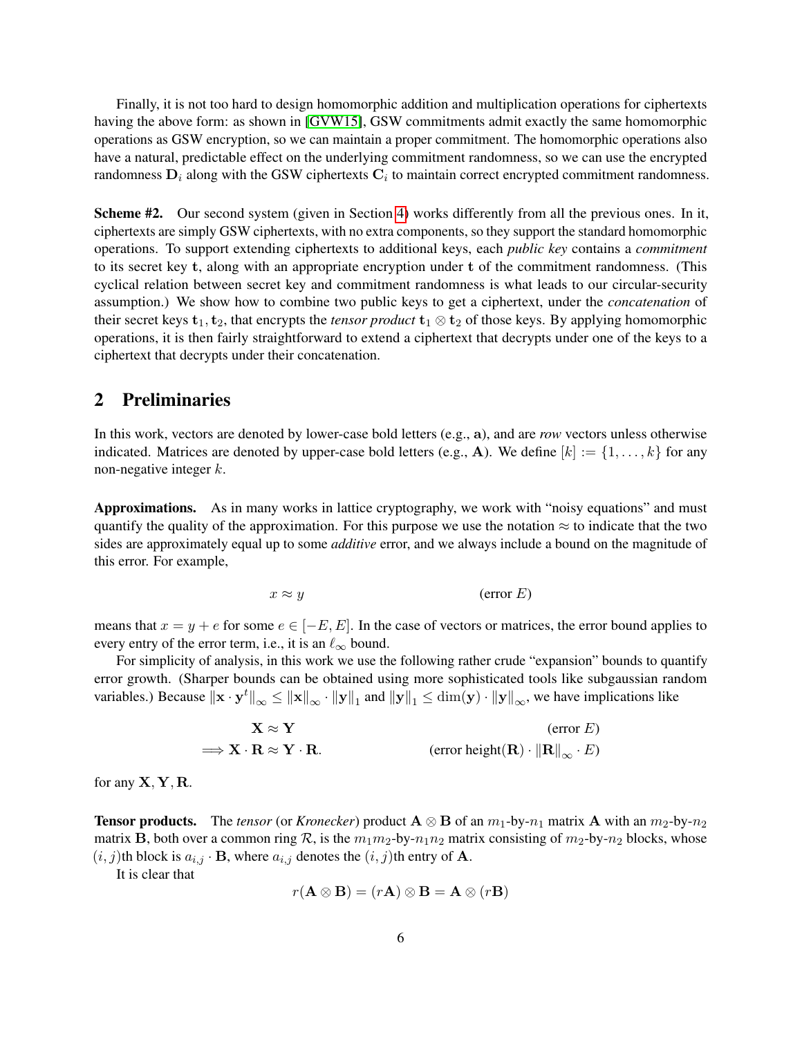Finally, it is not too hard to design homomorphic addition and multiplication operations for ciphertexts having the above form: as shown in [\[GVW15\]](#page-18-11), GSW commitments admit exactly the same homomorphic operations as GSW encryption, so we can maintain a proper commitment. The homomorphic operations also have a natural, predictable effect on the underlying commitment randomness, so we can use the encrypted randomness  $\mathbf{D}_i$  along with the GSW ciphertexts  $\mathbf{C}_i$  to maintain correct encrypted commitment randomness.

Scheme #2. Our second system (given in Section [4\)](#page-13-0) works differently from all the previous ones. In it, ciphertexts are simply GSW ciphertexts, with no extra components, so they support the standard homomorphic operations. To support extending ciphertexts to additional keys, each *public key* contains a *commitment* to its secret key t, along with an appropriate encryption under t of the commitment randomness. (This cyclical relation between secret key and commitment randomness is what leads to our circular-security assumption.) We show how to combine two public keys to get a ciphertext, under the *concatenation* of their secret keys  $t_1$ ,  $t_2$ , that encrypts the *tensor product*  $t_1 \otimes t_2$  of those keys. By applying homomorphic operations, it is then fairly straightforward to extend a ciphertext that decrypts under one of the keys to a ciphertext that decrypts under their concatenation.

## 2 Preliminaries

In this work, vectors are denoted by lower-case bold letters (e.g., a), and are *row* vectors unless otherwise indicated. Matrices are denoted by upper-case bold letters (e.g., A). We define  $[k] := \{1, \ldots, k\}$  for any non-negative integer k.

Approximations. As in many works in lattice cryptography, we work with "noisy equations" and must quantify the quality of the approximation. For this purpose we use the notation  $\approx$  to indicate that the two sides are approximately equal up to some *additive* error, and we always include a bound on the magnitude of this error. For example,

$$
x \approx y \qquad \qquad (error E)
$$

means that  $x = y + e$  for some  $e \in [-E, E]$ . In the case of vectors or matrices, the error bound applies to every entry of the error term, i.e., it is an  $\ell_{\infty}$  bound.

For simplicity of analysis, in this work we use the following rather crude "expansion" bounds to quantify error growth. (Sharper bounds can be obtained using more sophisticated tools like subgaussian random variables.) Because  $\|\mathbf{x} \cdot \mathbf{y}^t\|_{\infty} \leq \|\mathbf{x}\|_{\infty} \cdot \|\mathbf{y}\|_{1}$  and  $\|\mathbf{y}\|_{1} \leq \dim(\mathbf{y}) \cdot \|\mathbf{y}\|_{\infty}$ , we have implications like

$$
\mathbf{X} \approx \mathbf{Y}
$$
 (error *E*)  
\n
$$
\implies \mathbf{X} \cdot \mathbf{R} \approx \mathbf{Y} \cdot \mathbf{R}.
$$
 (error height( $\mathbf{R}$ )  $\cdot$   $||\mathbf{R}||_{\infty} \cdot E$ )

for any  $X, Y, R$ .

**Tensor products.** The *tensor* (or *Kronecker*) product  $A \otimes B$  of an  $m_1$ -by- $n_1$  matrix A with an  $m_2$ -by- $n_2$ matrix B, both over a common ring R, is the  $m_1m_2$ -by- $n_1n_2$  matrix consisting of  $m_2$ -by- $n_2$  blocks, whose  $(i, j)$ th block is  $a_{i,j} \cdot \mathbf{B}$ , where  $a_{i,j}$  denotes the  $(i, j)$ th entry of **A**.

It is clear that

$$
r(\mathbf{A}\otimes \mathbf{B})=(r\mathbf{A})\otimes \mathbf{B}=\mathbf{A}\otimes (r\mathbf{B})
$$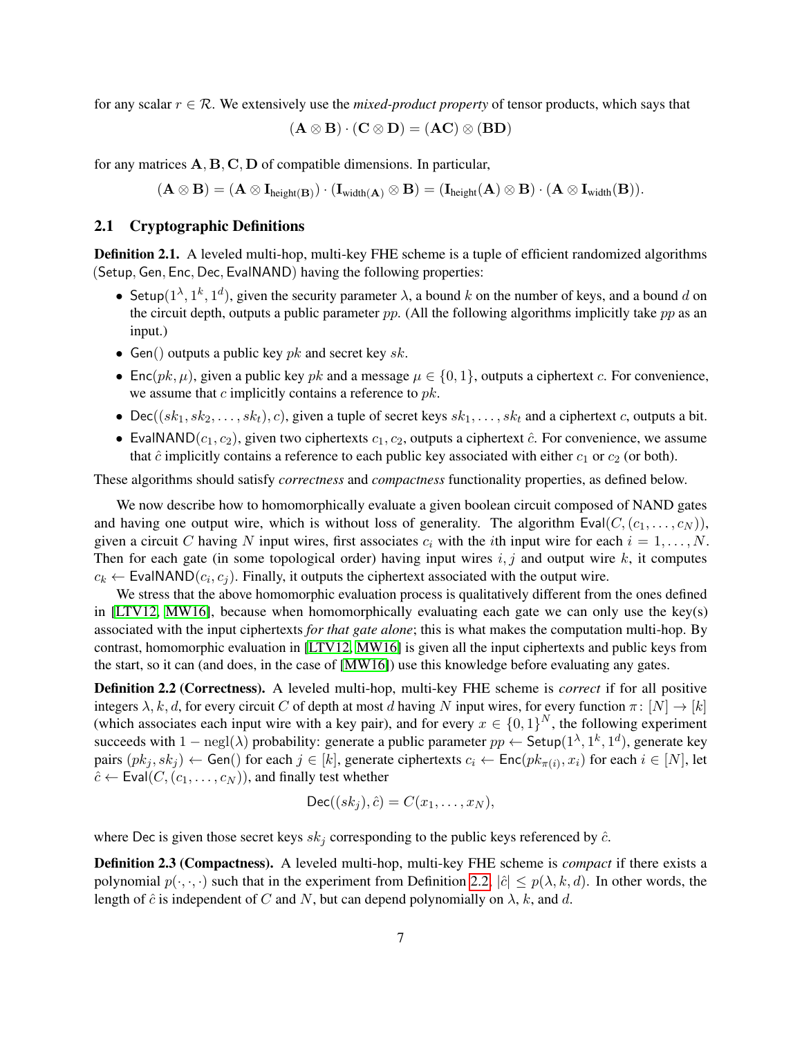for any scalar  $r \in \mathcal{R}$ . We extensively use the *mixed-product property* of tensor products, which says that

$$
(\mathbf{A} \otimes \mathbf{B}) \cdot (\mathbf{C} \otimes \mathbf{D}) = (\mathbf{AC}) \otimes (\mathbf{BD})
$$

for any matrices  $A, B, C, D$  of compatible dimensions. In particular,

$$
(\mathbf{A}\otimes \mathbf{B})=(\mathbf{A}\otimes \mathbf{I}_{height(\mathbf{B})})\cdot (\mathbf{I}_{width(\mathbf{A})}\otimes \mathbf{B})=(\mathbf{I}_{height}(\mathbf{A})\otimes \mathbf{B})\cdot (\mathbf{A}\otimes \mathbf{I}_{width}(\mathbf{B})).
$$

### 2.1 Cryptographic Definitions

Definition 2.1. A leveled multi-hop, multi-key FHE scheme is a tuple of efficient randomized algorithms (Setup, Gen, Enc, Dec, EvalNAND) having the following properties:

- Setup( $1^{\lambda}, 1^k, 1^d$ ), given the security parameter  $\lambda$ , a bound k on the number of keys, and a bound d on the circuit depth, outputs a public parameter  $pp$ . (All the following algorithms implicitly take  $pp$  as an input.)
- Gen() outputs a public key  $pk$  and secret key  $sk$ .
- Enc( $pk, \mu$ ), given a public key  $pk$  and a message  $\mu \in \{0, 1\}$ , outputs a ciphertext c. For convenience, we assume that  $c$  implicitly contains a reference to  $pk$ .
- Dec( $(sk_1, sk_2, \ldots, sk_t$ ), c), given a tuple of secret keys  $sk_1, \ldots, sk_t$  and a ciphertext c, outputs a bit.
- EvalNAND( $c_1, c_2$ ), given two ciphertexts  $c_1, c_2$ , outputs a ciphertext  $\hat{c}$ . For convenience, we assume that  $\hat{c}$  implicitly contains a reference to each public key associated with either  $c_1$  or  $c_2$  (or both).

These algorithms should satisfy *correctness* and *compactness* functionality properties, as defined below.

We now describe how to homomorphically evaluate a given boolean circuit composed of NAND gates and having one output wire, which is without loss of generality. The algorithm  $Eval(C, (c_1, \ldots, c_N))$ , given a circuit C having N input wires, first associates  $c_i$  with the *i*th input wire for each  $i = 1, \ldots, N$ . Then for each gate (in some topological order) having input wires  $i, j$  and output wire  $k$ , it computes  $c_k \leftarrow$  EvalNAND $(c_i, c_j)$ . Finally, it outputs the ciphertext associated with the output wire.

We stress that the above homomorphic evaluation process is qualitatively different from the ones defined in [\[LTV12,](#page-18-1) [MW16\]](#page-18-7), because when homomorphically evaluating each gate we can only use the key(s) associated with the input ciphertexts *for that gate alone*; this is what makes the computation multi-hop. By contrast, homomorphic evaluation in [\[LTV12,](#page-18-1) [MW16\]](#page-18-7) is given all the input ciphertexts and public keys from the start, so it can (and does, in the case of [\[MW16\]](#page-18-7)) use this knowledge before evaluating any gates.

<span id="page-6-0"></span>Definition 2.2 (Correctness). A leveled multi-hop, multi-key FHE scheme is *correct* if for all positive integers  $\lambda$ , k, d, for every circuit C of depth at most d having N input wires, for every function  $\pi: [N] \to [k]$ (which associates each input wire with a key pair), and for every  $x \in \{0,1\}^N$ , the following experiment succeeds with  $1 - \text{negl}(\lambda)$  probability: generate a public parameter  $pp \leftarrow$  Setup $(1^{\lambda}, 1^k, 1^d)$ , generate key pairs  $(pk_j, sk_j) \leftarrow$  Gen() for each  $j \in [k]$ , generate ciphertexts  $c_i \leftarrow \mathsf{Enc}(pk_{\pi(i)}, x_i)$  for each  $i \in [N]$ , let  $\hat{c} \leftarrow \text{Eval}(C, (c_1, \ldots, c_N))$ , and finally test whether

$$
\mathsf{Dec}((sk_j), \hat{c}) = C(x_1, \ldots, x_N),
$$

where Dec is given those secret keys  $sk_j$  corresponding to the public keys referenced by  $\hat{c}$ .

Definition 2.3 (Compactness). A leveled multi-hop, multi-key FHE scheme is *compact* if there exists a polynomial  $p(\cdot, \cdot)$  such that in the experiment from Definition [2.2,](#page-6-0)  $|\hat{c}| \leq p(\lambda, k, d)$ . In other words, the length of  $\hat{c}$  is independent of C and N, but can depend polynomially on  $\lambda$ , k, and d.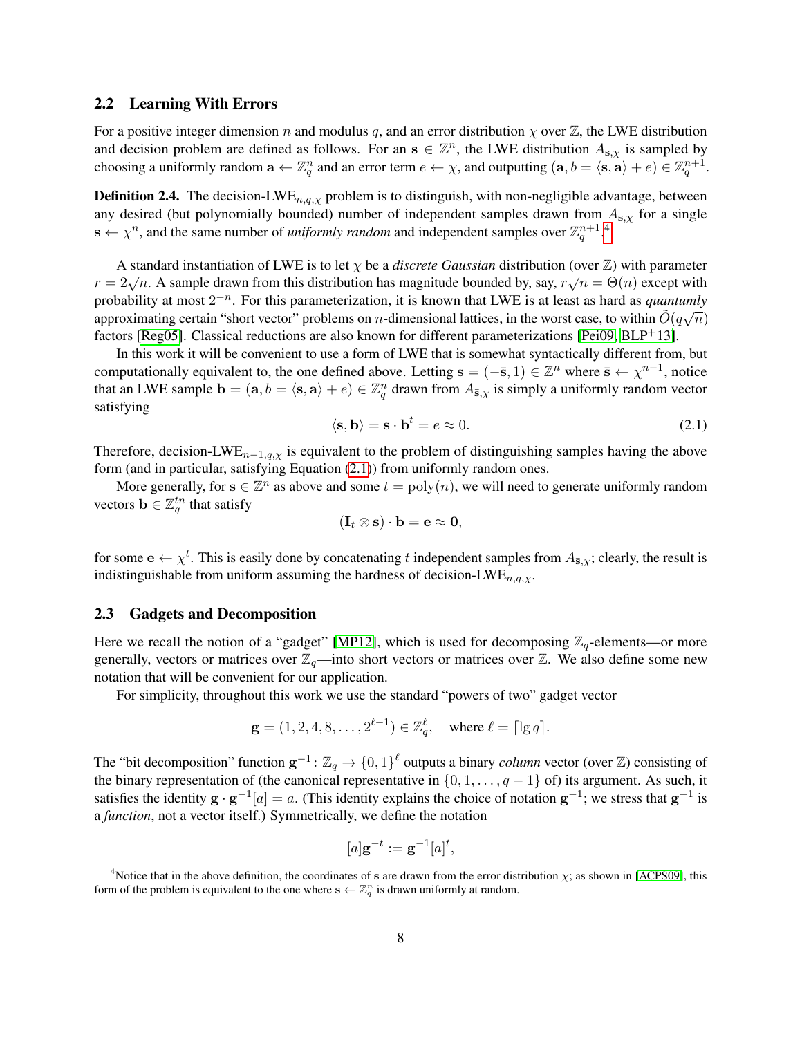## <span id="page-7-2"></span>2.2 Learning With Errors

For a positive integer dimension n and modulus q, and an error distribution  $\chi$  over  $\mathbb{Z}$ , the LWE distribution and decision problem are defined as follows. For an  $s \in \mathbb{Z}^n$ , the LWE distribution  $A_{s,\chi}$  is sampled by choosing a uniformly random  $\mathbf{a} \leftarrow \mathbb{Z}_q^n$  and an error term  $e \leftarrow \chi$ , and outputting  $(\mathbf{a}, b = \langle \mathbf{s}, \mathbf{a} \rangle + e) \in \mathbb{Z}_q^{n+1}$ .

**Definition 2.4.** The decision-LWE<sub>n,q, $\chi$ </sub> problem is to distinguish, with non-negligible advantage, between any desired (but polynomially bounded) number of independent samples drawn from  $A_{s,\chi}$  for a single  $\mathbf{s} \leftarrow \chi^n$ , and the same number of *uniformly random* and independent samples over  $\mathbb{Z}_q^{n+1}$ .<sup>[4](#page-7-0)</sup>

A standard instantiation of LWE is to let  $\chi$  be a *discrete Gaussian* distribution (over  $\mathbb{Z}$ ) with parameter A standard instantiation of EWE is to let  $\chi$  be a discrete Gaussian distribution (over  $\mathbb{Z}$ ) with parameter  $r = 2\sqrt{n}$ . A sample drawn from this distribution has magnitude bounded by, say,  $r\sqrt{n} = \Theta(n)$  except with probability at most  $2^{-n}$ . For this parameterization, it is known that LWE is at least as hard as *quantumly* approximating certain "short vector" problems on *n*-dimensional lattices, in the worst case, to within  $\tilde{O}(q\sqrt{n})$ factors [\[Reg05\]](#page-18-3). Classical reductions are also known for different parameterizations [\[Pei09,](#page-18-12) [BLP](#page-18-13)+13].

In this work it will be convenient to use a form of LWE that is somewhat syntactically different from, but computationally equivalent to, the one defined above. Letting  $s = (-\bar{s}, 1) \in \mathbb{Z}^n$  where  $\bar{s} \leftarrow \chi^{n-1}$ , notice that an LWE sample  $\mathbf{b} = (\mathbf{a}, b = \langle \mathbf{s}, \mathbf{a} \rangle + e) \in \mathbb{Z}_q^n$  drawn from  $A_{\overline{\mathbf{s}}, \chi}$  is simply a uniformly random vector satisfying

<span id="page-7-1"></span>
$$
\langle \mathbf{s}, \mathbf{b} \rangle = \mathbf{s} \cdot \mathbf{b}^t = e \approx 0. \tag{2.1}
$$

Therefore, decision-LWE<sub>n−1,q, $\chi$ </sub> is equivalent to the problem of distinguishing samples having the above form (and in particular, satisfying Equation [\(2.1\)](#page-7-1)) from uniformly random ones.

More generally, for  $\mathbf{s} \in \mathbb{Z}^n$  as above and some  $t = \text{poly}(n)$ , we will need to generate uniformly random vectors  $\mathbf{b} \in \mathbb{Z}_q^{tn}$  that satisfy

$$
(\mathbf{I}_t\otimes \mathbf{s})\cdot \mathbf{b}=\mathbf{e}\approx \mathbf{0},
$$

for some  $e \leftarrow \chi^t$ . This is easily done by concatenating t independent samples from  $A_{\bar{s},\chi}$ ; clearly, the result is indistinguishable from uniform assuming the hardness of decision-LWE<sub>n,q, $\chi$ </sub>.

### 2.3 Gadgets and Decomposition

Here we recall the notion of a "gadget" [\[MP12\]](#page-18-14), which is used for decomposing  $\mathbb{Z}_q$ -elements—or more generally, vectors or matrices over  $\mathbb{Z}_q$ —into short vectors or matrices over  $\mathbb{Z}$ . We also define some new notation that will be convenient for our application.

For simplicity, throughout this work we use the standard "powers of two" gadget vector

$$
\mathbf{g} = (1, 2, 4, 8, \dots, 2^{\ell-1}) \in \mathbb{Z}_q^{\ell}, \quad \text{where } \ell = \lceil \lg q \rceil.
$$

The "bit decomposition" function  $\mathbf{g}^{-1}$ :  $\mathbb{Z}_q \to \{0,1\}^{\ell}$  outputs a binary *column* vector (over  $\mathbb{Z}$ ) consisting of the binary representation of (the canonical representative in  $\{0, 1, \ldots, q-1\}$  of) its argument. As such, it satisfies the identity  $g \cdot g^{-1}[a] = a$ . (This identity explains the choice of notation  $g^{-1}$ ; we stress that  $g^{-1}$  is a *function*, not a vector itself.) Symmetrically, we define the notation

$$
[a]\mathbf{g}^{-t} := \mathbf{g}^{-1}[a]^t,
$$

<span id="page-7-0"></span><sup>&</sup>lt;sup>4</sup>Notice that in the above definition, the coordinates of s are drawn from the error distribution  $\chi$ ; as shown in [\[ACPS09\]](#page-17-2), this form of the problem is equivalent to the one where  $s \leftarrow \mathbb{Z}_q^n$  is drawn uniformly at random.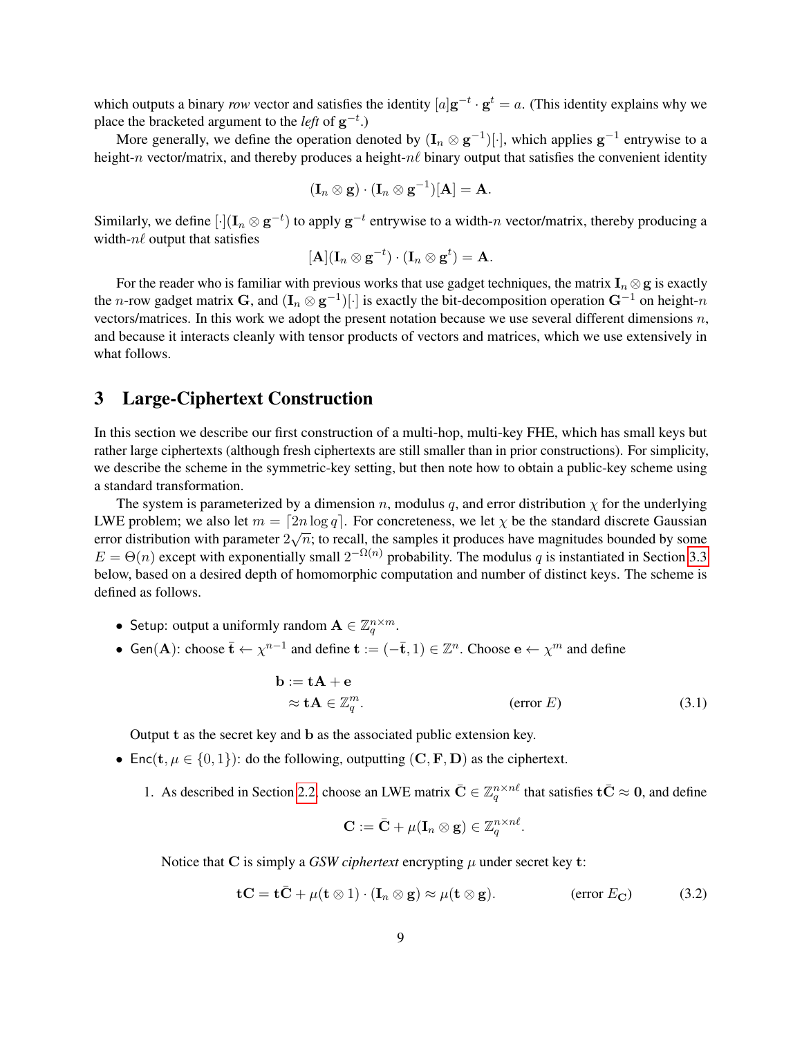which outputs a binary *row* vector and satisfies the identity  $[a]g^{-t} \cdot g^t = a$ . (This identity explains why we place the bracketed argument to the *left* of  $g^{-t}$ .)

More generally, we define the operation denoted by  $(I_n \otimes g^{-1})[\cdot]$ , which applies  $g^{-1}$  entrywise to a height-n vector/matrix, and thereby produces a height-n $\ell$  binary output that satisfies the convenient identity

$$
(\mathbf{I}_n \otimes \mathbf{g}) \cdot (\mathbf{I}_n \otimes \mathbf{g}^{-1})[\mathbf{A}] = \mathbf{A}.
$$

Similarly, we define  $[\cdot](\mathbf{I}_n \otimes \mathbf{g}^{-t})$  to apply  $\mathbf{g}^{-t}$  entrywise to a width-n vector/matrix, thereby producing a width- $n\ell$  output that satisfies

$$
[\mathbf{A}](\mathbf{I}_n \otimes \mathbf{g}^{-t}) \cdot (\mathbf{I}_n \otimes \mathbf{g}^t) = \mathbf{A}.
$$

For the reader who is familiar with previous works that use gadget techniques, the matrix  $I_n \otimes g$  is exactly the *n*-row gadget matrix G, and  $(I_n \otimes g^{-1})[\cdot]$  is exactly the bit-decomposition operation G<sup>-1</sup> on height-*n* vectors/matrices. In this work we adopt the present notation because we use several different dimensions  $n$ , and because it interacts cleanly with tensor products of vectors and matrices, which we use extensively in what follows.

# <span id="page-8-0"></span>3 Large-Ciphertext Construction

In this section we describe our first construction of a multi-hop, multi-key FHE, which has small keys but rather large ciphertexts (although fresh ciphertexts are still smaller than in prior constructions). For simplicity, we describe the scheme in the symmetric-key setting, but then note how to obtain a public-key scheme using a standard transformation.

The system is parameterized by a dimension n, modulus q, and error distribution  $\chi$  for the underlying LWE problem; we also let  $m = \lfloor 2n \log q \rfloor$ . For concreteness, we let  $\chi$  be the standard discrete Gaussian EWE problem, we also let  $m = |2n \log q|$ . For concreteness, we let  $\chi$  be the standard discrete Gaussian error distribution with parameter  $2\sqrt{n}$ ; to recall, the samples it produces have magnitudes bounded by some  $E = \Theta(n)$  except with exponentially small  $2^{-\Omega(n)}$  probability. The modulus q is instantiated in Section [3.3](#page-13-1) below, based on a desired depth of homomorphic computation and number of distinct keys. The scheme is defined as follows.

- Setup: output a uniformly random  $\mathbf{A} \in \mathbb{Z}_q^{n \times m}$ .
- Gen(A): choose  $\bar{\mathbf{t}} \leftarrow \chi^{n-1}$  and define  $\mathbf{t} := (-\bar{\mathbf{t}}, 1) \in \mathbb{Z}^n$ . Choose  $\mathbf{e} \leftarrow \chi^m$  and define

$$
\mathbf{b} := \mathbf{t}\mathbf{A} + \mathbf{e}
$$
  
\n
$$
\approx \mathbf{t}\mathbf{A} \in \mathbb{Z}_q^m.
$$
 (error *E*) (3.1)

Output t as the secret key and b as the associated public extension key.

- Enc $(t, \mu \in \{0, 1\})$ : do the following, outputting  $(C, F, D)$  as the ciphertext.
	- 1. As described in Section [2.2,](#page-7-2) choose an LWE matrix  $\bar{C} \in \mathbb{Z}_q^{n \times n\ell}$  that satisfies  $\bar{t} \bar{C} \approx 0$ , and define

<span id="page-8-2"></span><span id="page-8-1"></span>
$$
\mathbf{C} := \bar{\mathbf{C}} + \mu(\mathbf{I}_n \otimes \mathbf{g}) \in \mathbb{Z}_q^{n \times n\ell}.
$$

Notice that C is simply a *GSW ciphertext* encrypting  $\mu$  under secret key t:

$$
\mathbf{t}\mathbf{C} = \mathbf{t}\bar{\mathbf{C}} + \mu(\mathbf{t} \otimes 1) \cdot (\mathbf{I}_n \otimes \mathbf{g}) \approx \mu(\mathbf{t} \otimes \mathbf{g}).
$$
 (error  $E_{\mathbf{C}}$ ) (3.2)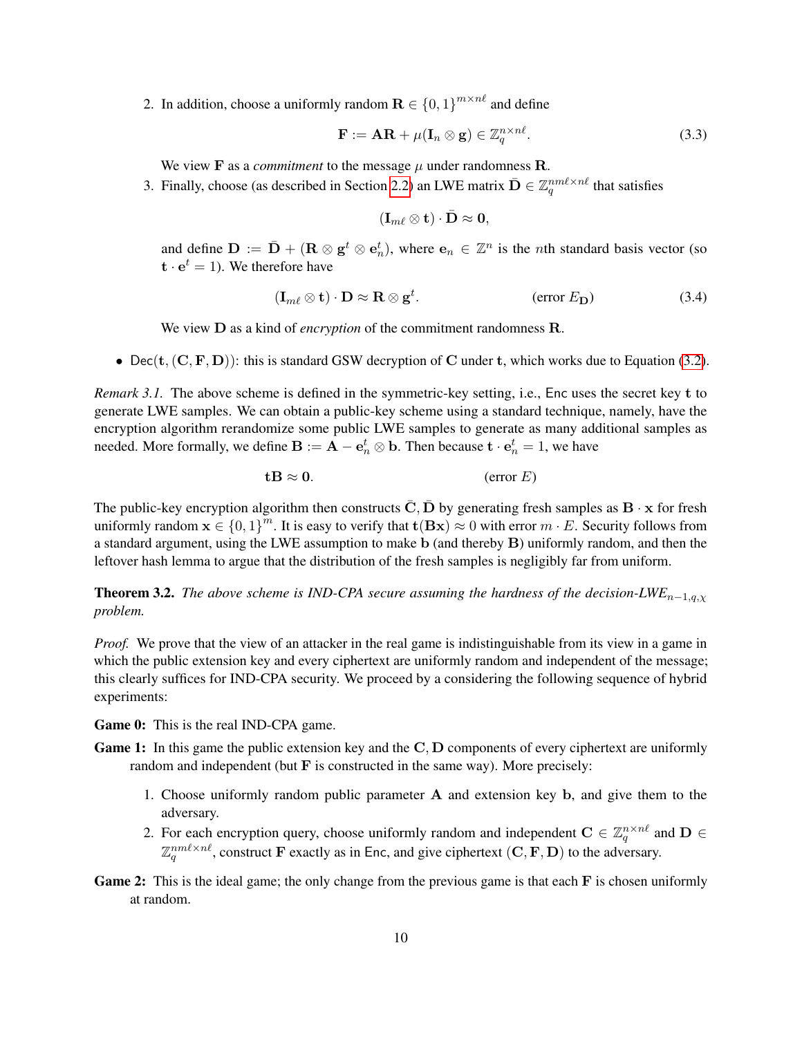2. In addition, choose a uniformly random  $\mathbf{R} \in \{0,1\}^{m \times n\ell}$  and define

$$
\mathbf{F} := \mathbf{AR} + \mu(\mathbf{I}_n \otimes \mathbf{g}) \in \mathbb{Z}_q^{n \times n\ell}.
$$
 (3.3)

We view  $\bf{F}$  as a *commitment* to the message  $\mu$  under randomness  $\bf{R}$ .

3. Finally, choose (as described in Section [2.2\)](#page-7-2) an LWE matrix  $\bar{\mathbf{D}} \in \mathbb{Z}_q^{nm\ell \times n\ell}$  that satisfies

<span id="page-9-1"></span><span id="page-9-0"></span>
$$
(\mathbf{I}_{m\ell} \otimes \mathbf{t}) \cdot \bar{\mathbf{D}} \approx \mathbf{0},
$$

and define  $D := \bar{D} + (R \otimes g^t \otimes e_n^t)$ , where  $e_n \in \mathbb{Z}^n$  is the *n*th standard basis vector (so  $\mathbf{t} \cdot \mathbf{e}^t = 1$ ). We therefore have

$$
(\mathbf{I}_{m\ell} \otimes \mathbf{t}) \cdot \mathbf{D} \approx \mathbf{R} \otimes \mathbf{g}^t. \tag{3.4}
$$

We view D as a kind of *encryption* of the commitment randomness R.

• Dec(t,  $(C, F, D)$ ): this is standard GSW decryption of C under t, which works due to Equation [\(3.2\)](#page-8-1).

*Remark 3.1.* The above scheme is defined in the symmetric-key setting, i.e., Enc uses the secret key t to generate LWE samples. We can obtain a public-key scheme using a standard technique, namely, have the encryption algorithm rerandomize some public LWE samples to generate as many additional samples as needed. More formally, we define  $\mathbf{B} := \mathbf{A} - \mathbf{e}_n^t \otimes \mathbf{b}$ . Then because  $\mathbf{t} \cdot \mathbf{e}_n^t = 1$ , we have

$$
\mathbf{t} \mathbf{B} \approx \mathbf{0}.\tag{error } E
$$

The public-key encryption algorithm then constructs  $\bar{C}$ ,  $\bar{D}$  by generating fresh samples as  $B \cdot x$  for fresh uniformly random  $\mathbf{x} \in \{0,1\}^m$ . It is easy to verify that  $\mathbf{t}(\mathbf{B}\mathbf{x}) \approx 0$  with error  $m \cdot E$ . Security follows from a standard argument, using the LWE assumption to make b (and thereby B) uniformly random, and then the leftover hash lemma to argue that the distribution of the fresh samples is negligibly far from uniform.

**Theorem 3.2.** *The above scheme is IND-CPA secure assuming the hardness of the decision-LWE*<sub>n−1,*a*, $\chi$ </sub> *problem.*

*Proof.* We prove that the view of an attacker in the real game is indistinguishable from its view in a game in which the public extension key and every ciphertext are uniformly random and independent of the message; this clearly suffices for IND-CPA security. We proceed by a considering the following sequence of hybrid experiments:

Game 0: This is the real IND-CPA game.

- Game 1: In this game the public extension key and the C, D components of every ciphertext are uniformly random and independent (but  $\bf{F}$  is constructed in the same way). More precisely:
	- 1. Choose uniformly random public parameter A and extension key b, and give them to the adversary.
	- 2. For each encryption query, choose uniformly random and independent  $\mathbf{C} \in \mathbb{Z}_q^{n \times n\ell}$  and  $\mathbf{D} \in$  $\mathbb{Z}_q^{nm\ell \times n\ell}$ , construct F exactly as in Enc, and give ciphertext  $(C, F, D)$  to the adversary.
- Game 2: This is the ideal game; the only change from the previous game is that each F is chosen uniformly at random.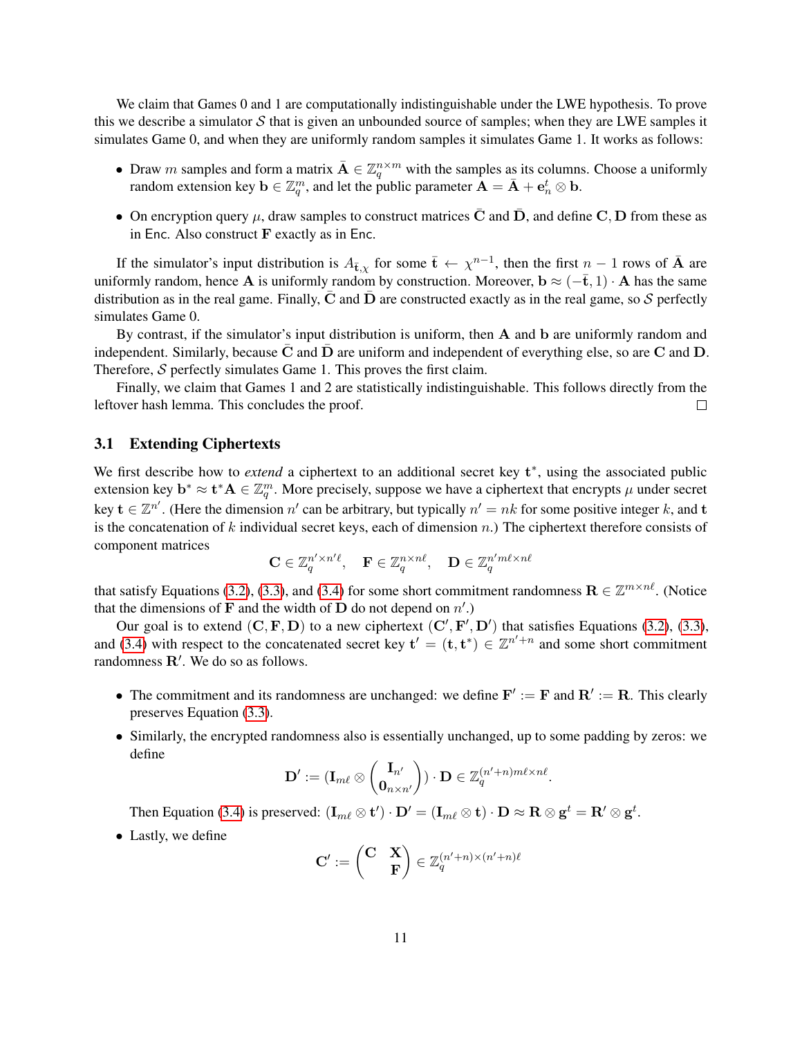We claim that Games 0 and 1 are computationally indistinguishable under the LWE hypothesis. To prove this we describe a simulator  $S$  that is given an unbounded source of samples; when they are LWE samples it simulates Game 0, and when they are uniformly random samples it simulates Game 1. It works as follows:

- Draw m samples and form a matrix  $\bar{\mathbf{A}} \in \mathbb{Z}_q^{n \times m}$  with the samples as its columns. Choose a uniformly random extension key  $\mathbf{b} \in \mathbb{Z}_q^m$ , and let the public parameter  $\mathbf{A} = \bar{\mathbf{A}} + \mathbf{e}_n^t \otimes \mathbf{b}$ .
- On encryption query  $\mu$ , draw samples to construct matrices  $\bar{C}$  and  $\bar{D}$ , and define C, D from these as in Enc. Also construct F exactly as in Enc.

If the simulator's input distribution is  $A_{\bar{t},\chi}$  for some  $\bar{t} \leftarrow \chi^{n-1}$ , then the first  $n-1$  rows of  $\bar{A}$  are uniformly random, hence A is uniformly random by construction. Moreover,  $\mathbf{b} \approx (-\bar{\mathbf{t}}, 1) \cdot \mathbf{A}$  has the same distribution as in the real game. Finally,  $\bar{C}$  and  $\bar{D}$  are constructed exactly as in the real game, so S perfectly simulates Game 0.

By contrast, if the simulator's input distribution is uniform, then A and b are uniformly random and independent. Similarly, because  $\overline{C}$  and  $\overline{D}$  are uniform and independent of everything else, so are C and D. Therefore,  $S$  perfectly simulates Game 1. This proves the first claim.

Finally, we claim that Games 1 and 2 are statistically indistinguishable. This follows directly from the leftover hash lemma. This concludes the proof.  $\Box$ 

### 3.1 Extending Ciphertexts

We first describe how to extend a ciphertext to an additional secret key t<sup>\*</sup>, using the associated public extension key  $\mathbf{b}^* \approx \mathbf{t}^* \mathbf{A} \in \mathbb{Z}_q^m$ . More precisely, suppose we have a ciphertext that encrypts  $\mu$  under secret key  $\mathbf{t} \in \mathbb{Z}^{n'}$ . (Here the dimension n' can be arbitrary, but typically  $n' = nk$  for some positive integer k, and t is the concatenation of  $k$  individual secret keys, each of dimension  $n$ .) The ciphertext therefore consists of component matrices  $\ell$ 

$$
\mathbf{C} \in \mathbb{Z}_q^{n' \times n' \ell}, \quad \mathbf{F} \in \mathbb{Z}_q^{n \times n \ell}, \quad \mathbf{D} \in \mathbb{Z}_q^{n' m \ell \times n}
$$

that satisfy Equations [\(3.2\)](#page-8-1), [\(3.3\)](#page-9-0), and [\(3.4\)](#page-9-1) for some short commitment randomness  $\mathbf{R} \in \mathbb{Z}^{m \times n\ell}$ . (Notice that the dimensions of **F** and the width of **D** do not depend on  $n'$ .)

Our goal is to extend  $(C, F, D)$  to a new ciphertext  $(C', F', D')$  that satisfies Equations [\(3.2\)](#page-8-1), [\(3.3\)](#page-9-0), and [\(3.4\)](#page-9-1) with respect to the concatenated secret key  $t' = (t, t^*) \in \mathbb{Z}^{n'+n}$  and some short commitment randomness  $\mathbf{R}'$ . We do so as follows.

- The commitment and its randomness are unchanged: we define  $F' := F$  and  $R' := R$ . This clearly preserves Equation [\(3.3\)](#page-9-0).
- Similarly, the encrypted randomness also is essentially unchanged, up to some padding by zeros: we define

$$
\mathbf{D}':=(\mathbf{I}_{m\ell}\otimes \begin{pmatrix} \mathbf{I}_{n'}\\ \mathbf{0}_{n\times n'}\end{pmatrix})\cdot \mathbf{D}\in\mathbb{Z}_q^{(n'+n)m\ell\times n\ell}.
$$

Then Equation [\(3.4\)](#page-9-1) is preserved:  $(\mathbf{I}_{m\ell} \otimes \mathbf{t}') \cdot \mathbf{D}' = (\mathbf{I}_{m\ell} \otimes \mathbf{t}) \cdot \mathbf{D} \approx \mathbf{R} \otimes \mathbf{g}^t = \mathbf{R}' \otimes \mathbf{g}^t$ .

• Lastly, we define

$$
\mathbf{C}' := \begin{pmatrix} \mathbf{C} & \mathbf{X} \\ & \mathbf{F} \end{pmatrix} \in \mathbb{Z}_q^{(n'+n)\times (n'+n)\ell}
$$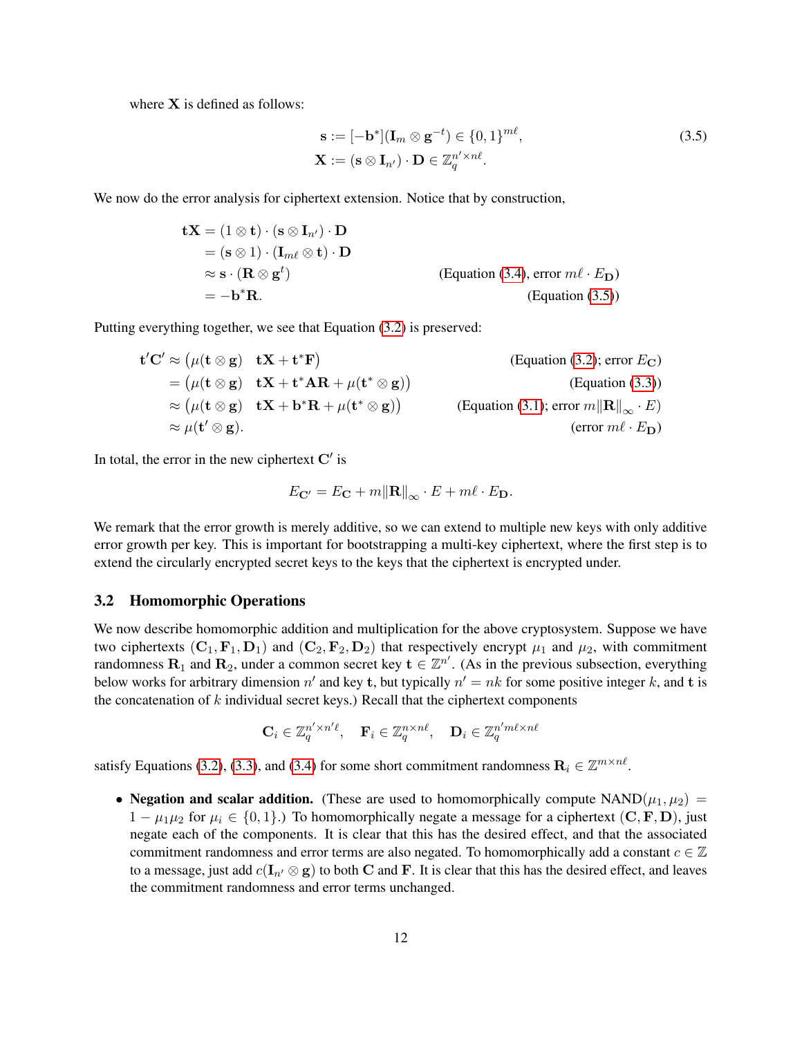where  $X$  is defined as follows:

<span id="page-11-0"></span>
$$
\mathbf{s} := [-\mathbf{b}^*](\mathbf{I}_m \otimes \mathbf{g}^{-t}) \in \{0, 1\}^{m\ell},
$$
  

$$
\mathbf{X} := (\mathbf{s} \otimes \mathbf{I}_{n'}) \cdot \mathbf{D} \in \mathbb{Z}_q^{n' \times n\ell}.
$$
 (3.5)

We now do the error analysis for ciphertext extension. Notice that by construction,

$$
\mathbf{t} \mathbf{X} = (1 \otimes \mathbf{t}) \cdot (\mathbf{s} \otimes \mathbf{I}_{n'}) \cdot \mathbf{D}
$$
  
=  $(\mathbf{s} \otimes 1) \cdot (\mathbf{I}_{m\ell} \otimes \mathbf{t}) \cdot \mathbf{D}$   
 $\approx \mathbf{s} \cdot (\mathbf{R} \otimes \mathbf{g}^t)$   
=  $-\mathbf{b}^* \mathbf{R}$ . (Equation (3.5))

Putting everything together, we see that Equation [\(3.2\)](#page-8-1) is preserved:

$$
\mathbf{t}'\mathbf{C}' \approx (\mu(\mathbf{t} \otimes \mathbf{g}) \quad \mathbf{t}\mathbf{X} + \mathbf{t}^*\mathbf{F})
$$
 (Equation (3.2); error  $E_{\mathbf{C}}$ )  
\n
$$
= (\mu(\mathbf{t} \otimes \mathbf{g}) \quad \mathbf{t}\mathbf{X} + \mathbf{t}^*\mathbf{A}\mathbf{R} + \mu(\mathbf{t}^* \otimes \mathbf{g}))
$$
 (Equation (3.3))  
\n
$$
\approx (\mu(\mathbf{t} \otimes \mathbf{g}) \quad \mathbf{t}\mathbf{X} + \mathbf{b}^*\mathbf{R} + \mu(\mathbf{t}^* \otimes \mathbf{g}))
$$
 (Equation (3.1); error  $m \|\mathbf{R}\|_{\infty} \cdot E$ )  
\n
$$
\approx \mu(\mathbf{t}' \otimes \mathbf{g}).
$$
 (error  $m\ell \cdot E_{\mathbf{D}}$ )

In total, the error in the new ciphertext  $\mathbf{C}'$  is

$$
E_{\mathbf{C}'} = E_{\mathbf{C}} + m \|\mathbf{R}\|_{\infty} \cdot E + m\ell \cdot E_{\mathbf{D}}.
$$

We remark that the error growth is merely additive, so we can extend to multiple new keys with only additive error growth per key. This is important for bootstrapping a multi-key ciphertext, where the first step is to extend the circularly encrypted secret keys to the keys that the ciphertext is encrypted under.

### 3.2 Homomorphic Operations

We now describe homomorphic addition and multiplication for the above cryptosystem. Suppose we have two ciphertexts  $(C_1, F_1, D_1)$  and  $(C_2, F_2, D_2)$  that respectively encrypt  $\mu_1$  and  $\mu_2$ , with commitment randomness  $\mathbf{R}_1$  and  $\mathbf{R}_2$ , under a common secret key  $\mathbf{t} \in \mathbb{Z}^{n'}$ . (As in the previous subsection, everything below works for arbitrary dimension  $n'$  and key t, but typically  $n' = nk$  for some positive integer k, and t is the concatenation of  $k$  individual secret keys.) Recall that the ciphertext components

$$
\mathbf{C}_i \in \mathbb{Z}_q^{n' \times n' \ell}, \quad \mathbf{F}_i \in \mathbb{Z}_q^{n \times n \ell}, \quad \mathbf{D}_i \in \mathbb{Z}_q^{n'm\ell \times n\ell}
$$

satisfy Equations [\(3.2\)](#page-8-1), [\(3.3\)](#page-9-0), and [\(3.4\)](#page-9-1) for some short commitment randomness  $\mathbf{R}_i \in \mathbb{Z}^{m \times n\ell}$ .

• Negation and scalar addition. (These are used to homomorphically compute NAND $(\mu_1, \mu_2)$  =  $1 - \mu_1 \mu_2$  for  $\mu_i \in \{0, 1\}$ .) To homomorphically negate a message for a ciphertext  $(C, F, D)$ , just negate each of the components. It is clear that this has the desired effect, and that the associated commitment randomness and error terms are also negated. To homomorphically add a constant  $c \in \mathbb{Z}$ to a message, just add  $c(\mathbf{I}_{n' \otimes \mathbf{g}})$  to both C and F. It is clear that this has the desired effect, and leaves the commitment randomness and error terms unchanged.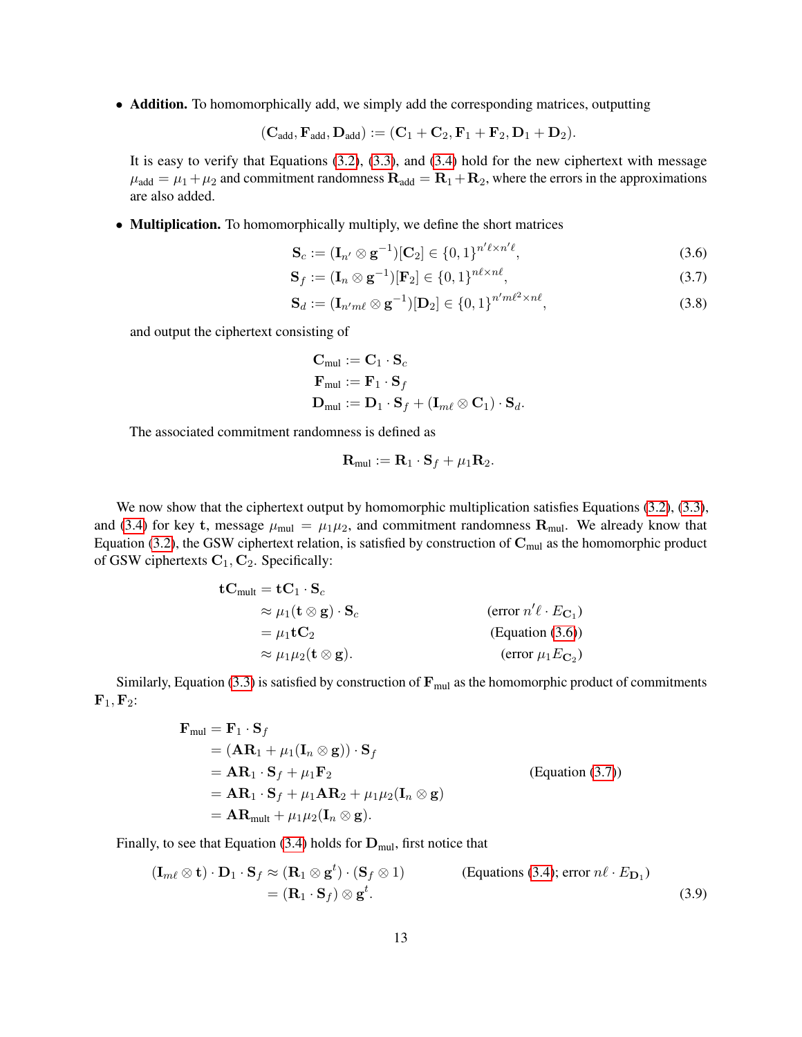• Addition. To homomorphically add, we simply add the corresponding matrices, outputting

$$
(\mathbf{C}_{add}, \mathbf{F}_{add}, \mathbf{D}_{add}) := (\mathbf{C}_1 + \mathbf{C}_2, \mathbf{F}_1 + \mathbf{F}_2, \mathbf{D}_1 + \mathbf{D}_2).
$$

It is easy to verify that Equations [\(3.2\)](#page-8-1), [\(3.3\)](#page-9-0), and [\(3.4\)](#page-9-1) hold for the new ciphertext with message  $\mu_{\text{add}} = \mu_1 + \mu_2$  and commitment randomness  $\mathbf{R}_{\text{add}} = \mathbf{R}_1 + \mathbf{R}_2$ , where the errors in the approximations are also added.

• Multiplication. To homomorphically multiply, we define the short matrices

$$
\mathbf{S}_c := (\mathbf{I}_{n'} \otimes \mathbf{g}^{-1})[\mathbf{C}_2] \in \{0, 1\}^{n'\ell \times n'\ell},\tag{3.6}
$$

$$
\mathbf{S}_f := (\mathbf{I}_n \otimes \mathbf{g}^{-1})[\mathbf{F}_2] \in \{0, 1\}^{n\ell \times n\ell},\tag{3.7}
$$

$$
\mathbf{S}_d := (\mathbf{I}_{n'm\ell} \otimes \mathbf{g}^{-1})[\mathbf{D}_2] \in \{0,1\}^{n'm\ell^2 \times n\ell},\tag{3.8}
$$

and output the ciphertext consisting of

<span id="page-12-2"></span><span id="page-12-1"></span><span id="page-12-0"></span>
$$
\begin{aligned} \mathbf{C}_{\text{mul}} &:= \mathbf{C}_1 \cdot \mathbf{S}_c \\ \mathbf{F}_{\text{mul}} &:= \mathbf{F}_1 \cdot \mathbf{S}_f \\ \mathbf{D}_{\text{mul}} &:= \mathbf{D}_1 \cdot \mathbf{S}_f + (\mathbf{I}_{m\ell} \otimes \mathbf{C}_1) \cdot \mathbf{S}_d. \end{aligned}
$$

The associated commitment randomness is defined as

$$
\mathbf{R}_{\text{mul}} := \mathbf{R}_1 \cdot \mathbf{S}_f + \mu_1 \mathbf{R}_2.
$$

We now show that the ciphertext output by homomorphic multiplication satisfies Equations [\(3.2\)](#page-8-1), [\(3.3\)](#page-9-0), and [\(3.4\)](#page-9-1) for key t, message  $\mu_{\text{mul}} = \mu_1 \mu_2$ , and commitment randomness  $\mathbf{R}_{\text{mul}}$ . We already know that Equation [\(3.2\)](#page-8-1), the GSW ciphertext relation, is satisfied by construction of  $C_{mul}$  as the homomorphic product of GSW ciphertexts  $C_1, C_2$ . Specifically:

$$
\mathbf{t} \mathbf{C}_{\text{mult}} = \mathbf{t} \mathbf{C}_1 \cdot \mathbf{S}_c
$$
  
\n
$$
\approx \mu_1(\mathbf{t} \otimes \mathbf{g}) \cdot \mathbf{S}_c
$$
 (error  $n' \ell \cdot E_{\mathbf{C}_1}$ )  
\n
$$
= \mu_1 \mathbf{t} \mathbf{C}_2
$$
 (Equation (3.6))  
\n
$$
\approx \mu_1 \mu_2(\mathbf{t} \otimes \mathbf{g}).
$$
 (error  $\mu_1 E_{\mathbf{C}_2}$ )

Similarly, Equation [\(3.3\)](#page-9-0) is satisfied by construction of  $\mathbf{F}_{mul}$  as the homomorphic product of commitments  $\mathbf{F}_1, \mathbf{F}_2$ :

<span id="page-12-3"></span>
$$
\mathbf{F}_{\text{mul}} = \mathbf{F}_1 \cdot \mathbf{S}_f
$$
  
=  $(\mathbf{A}\mathbf{R}_1 + \mu_1(\mathbf{I}_n \otimes \mathbf{g})) \cdot \mathbf{S}_f$   
=  $\mathbf{A}\mathbf{R}_1 \cdot \mathbf{S}_f + \mu_1 \mathbf{F}_2$  (Equation (3.7))  
=  $\mathbf{A}\mathbf{R}_1 \cdot \mathbf{S}_f + \mu_1 \mathbf{A}\mathbf{R}_2 + \mu_1 \mu_2 (\mathbf{I}_n \otimes \mathbf{g})$   
=  $\mathbf{A}\mathbf{R}_{\text{mult}} + \mu_1 \mu_2 (\mathbf{I}_n \otimes \mathbf{g}).$ 

Finally, to see that Equation [\(3.4\)](#page-9-1) holds for  $D_{mul}$ , first notice that

$$
(\mathbf{I}_{m\ell} \otimes \mathbf{t}) \cdot \mathbf{D}_1 \cdot \mathbf{S}_f \approx (\mathbf{R}_1 \otimes \mathbf{g}^t) \cdot (\mathbf{S}_f \otimes 1)
$$
 (Equations (3.4); error  $n\ell \cdot E_{\mathbf{D}_1}$ )  
=  $(\mathbf{R}_1 \cdot \mathbf{S}_f) \otimes \mathbf{g}^t$ . (3.9)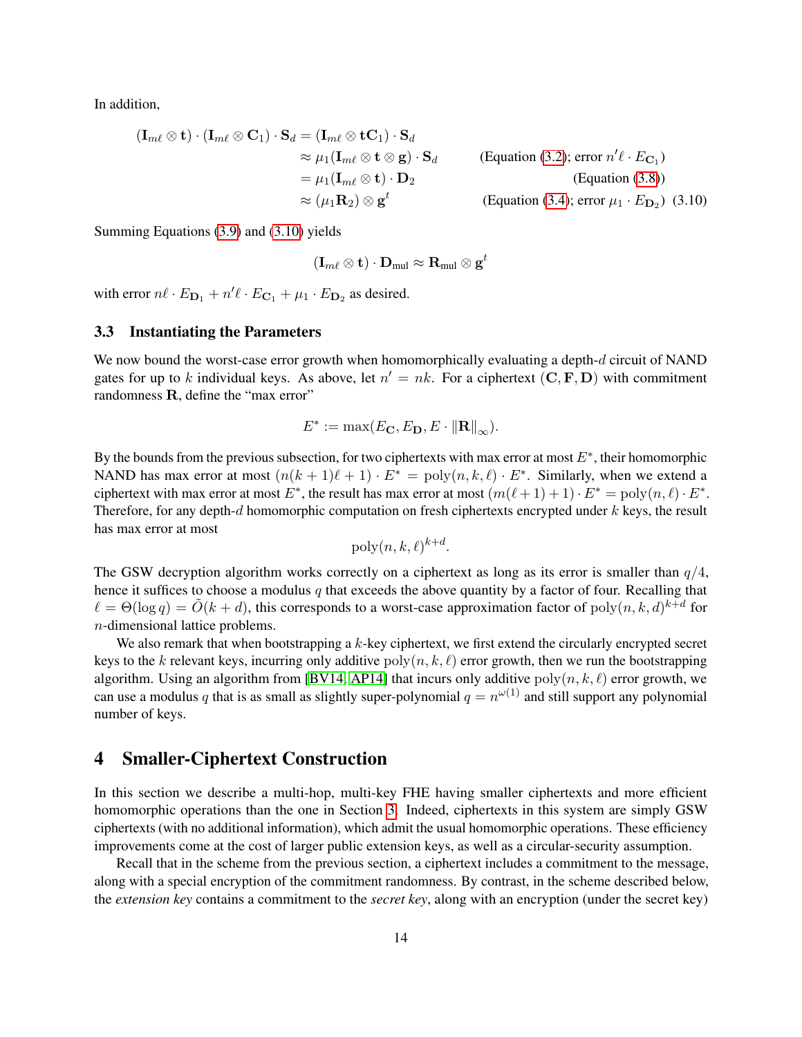In addition,

$$
(\mathbf{I}_{m\ell} \otimes \mathbf{t}) \cdot (\mathbf{I}_{m\ell} \otimes \mathbf{C}_1) \cdot \mathbf{S}_d = (\mathbf{I}_{m\ell} \otimes \mathbf{t} \mathbf{C}_1) \cdot \mathbf{S}_d
$$
  
\n
$$
\approx \mu_1 (\mathbf{I}_{m\ell} \otimes \mathbf{t} \otimes \mathbf{g}) \cdot \mathbf{S}_d
$$
 (Equation (3.2); error  $n'\ell \cdot E_{\mathbf{C}_1}$ )  
\n
$$
= \mu_1 (\mathbf{I}_{m\ell} \otimes \mathbf{t}) \cdot \mathbf{D}_2
$$
 (Equation (3.8))  
\n
$$
\approx (\mu_1 \mathbf{R}_2) \otimes \mathbf{g}^t
$$
 (Equation (3.4); error  $\mu_1 \cdot E_{\mathbf{D}_2}$ ) (3.10)

Summing Equations [\(3.9\)](#page-12-3) and [\(3.10\)](#page-13-2) yields

<span id="page-13-2"></span>
$$
(\mathbf{I}_{m\ell}\otimes \mathbf{t})\cdot \mathbf{D}_{mul}\approx \mathbf{R}_{mul}\otimes \mathbf{g}^t
$$

with error  $n\ell \cdot E_{\mathbf{D}_1} + n'\ell \cdot E_{\mathbf{C}_1} + \mu_1 \cdot E_{\mathbf{D}_2}$  as desired.

### <span id="page-13-1"></span>3.3 Instantiating the Parameters

We now bound the worst-case error growth when homomorphically evaluating a depth- $d$  circuit of NAND gates for up to k individual keys. As above, let  $n' = nk$ . For a ciphertext  $(C, F, D)$  with commitment randomness R, define the "max error"

$$
E^*:=\max(E_{{\bf C}},E_{{\bf D}},E\cdot\left\|{\bf R}\right\|_\infty).
$$

By the bounds from the previous subsection, for two ciphertexts with max error at most  $E^*$ , their homomorphic NAND has max error at most  $(n(k + 1)\ell + 1) \cdot E^* = \text{poly}(n, k, \ell) \cdot E^*$ . Similarly, when we extend a ciphertext with max error at most  $E^*$ , the result has max error at most  $(m(\ell + 1) + 1) \cdot E^* = \text{poly}(n, \ell) \cdot E^*$ . Therefore, for any depth- $d$  homomorphic computation on fresh ciphertexts encrypted under  $k$  keys, the result has max error at most

$$
poly(n,k,\ell)^{k+d}.
$$

The GSW decryption algorithm works correctly on a ciphertext as long as its error is smaller than  $q/4$ , hence it suffices to choose a modulus  $q$  that exceeds the above quantity by a factor of four. Recalling that  $\ell = \Theta(\log q) = \tilde{O}(k + d)$ , this corresponds to a worst-case approximation factor of  $\text{poly}(n, k, d)^{k+d}$  for n-dimensional lattice problems.

We also remark that when bootstrapping a k-key ciphertext, we first extend the circularly encrypted secret keys to the k relevant keys, incurring only additive poly $(n, k, \ell)$  error growth, then we run the bootstrapping algorithm. Using an algorithm from [\[BV14,](#page-18-15) [AP14\]](#page-17-3) that incurs only additive poly $(n, k, \ell)$  error growth, we can use a modulus q that is as small as slightly super-polynomial  $q = n^{\omega(1)}$  and still support any polynomial number of keys.

# <span id="page-13-0"></span>4 Smaller-Ciphertext Construction

In this section we describe a multi-hop, multi-key FHE having smaller ciphertexts and more efficient homomorphic operations than the one in Section [3.](#page-8-0) Indeed, ciphertexts in this system are simply GSW ciphertexts (with no additional information), which admit the usual homomorphic operations. These efficiency improvements come at the cost of larger public extension keys, as well as a circular-security assumption.

Recall that in the scheme from the previous section, a ciphertext includes a commitment to the message, along with a special encryption of the commitment randomness. By contrast, in the scheme described below, the *extension key* contains a commitment to the *secret key*, along with an encryption (under the secret key)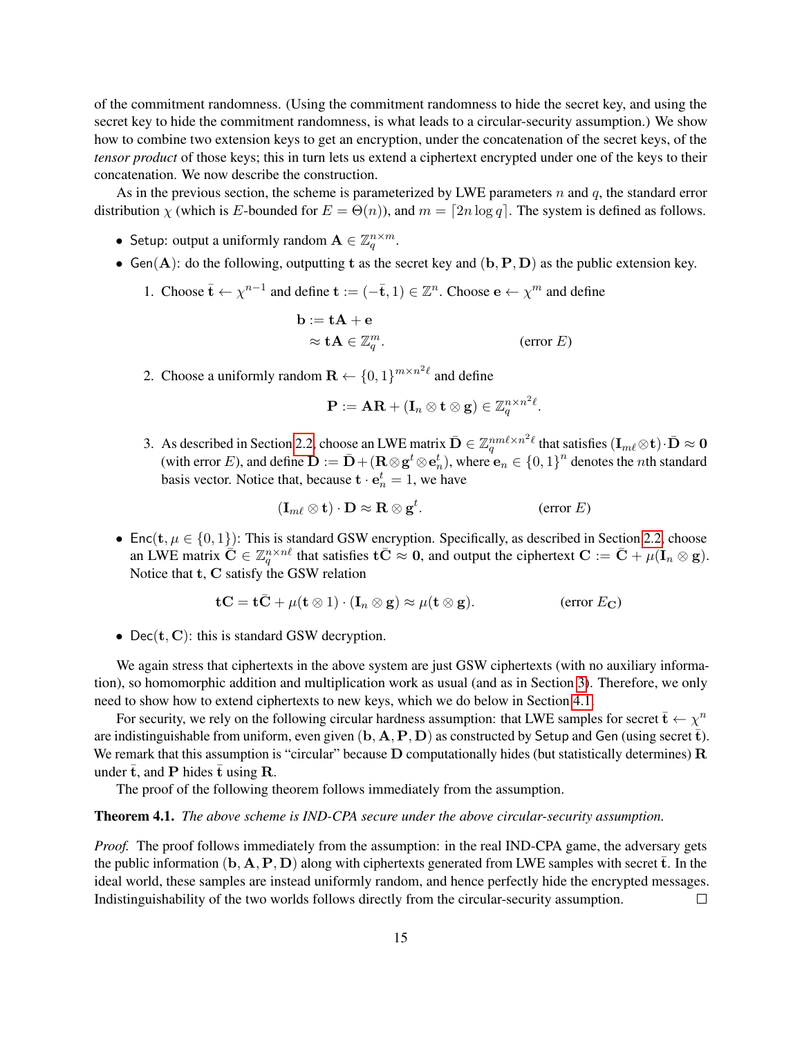of the commitment randomness. (Using the commitment randomness to hide the secret key, and using the secret key to hide the commitment randomness, is what leads to a circular-security assumption.) We show how to combine two extension keys to get an encryption, under the concatenation of the secret keys, of the *tensor product* of those keys; this in turn lets us extend a ciphertext encrypted under one of the keys to their concatenation. We now describe the construction.

As in the previous section, the scheme is parameterized by LWE parameters  $n$  and  $q$ , the standard error distribution  $\chi$  (which is E-bounded for  $E = \Theta(n)$ ), and  $m = \lfloor 2n \log q \rfloor$ . The system is defined as follows.

- Setup: output a uniformly random  $\mathbf{A} \in \mathbb{Z}_q^{n \times m}$ .
- Gen $(A)$ : do the following, outputting t as the secret key and  $(b, P, D)$  as the public extension key.
	- 1. Choose  $\bar{\mathbf{t}} \leftarrow \chi^{n-1}$  and define  $\mathbf{t} := (-\bar{\mathbf{t}}, 1) \in \mathbb{Z}^n$ . Choose  $\mathbf{e} \leftarrow \chi^m$  and define

$$
\mathbf{b} := \mathbf{t}\mathbf{A} + \mathbf{e}
$$
  
\n
$$
\approx \mathbf{t}\mathbf{A} \in \mathbb{Z}_q^m.
$$
 (error  $E$ )

2. Choose a uniformly random  $\mathbf{R} \leftarrow \{0, 1\}^{m \times n^2 \ell}$  and define

$$
\mathbf{P}:=\mathbf{A}\mathbf{R}+(\mathbf{I}_n\otimes \mathbf{t}\otimes \mathbf{g})\in \mathbb{Z}_q^{n\times n^2\ell}.
$$

3. As described in Section [2.2,](#page-7-2) choose an LWE matrix  $\bar{\bf D}\in \mathbb{Z}_q^{nm\ell\times n^2\ell}$  that satisfies  $({\bf I}_{m\ell}\otimes {\bf t})\cdot\bar{\bf D}\approx {\bf 0}$ (with error E), and define  $\mathbf{D} := \bar{\mathbf{D}} + (\mathbf{R} \otimes \mathbf{g}^t \otimes \mathbf{e}_n^t)$ , where  $\mathbf{e}_n \in \{0,1\}^n$  denotes the *n*th standard basis vector. Notice that, because  $\mathbf{t} \cdot \mathbf{e}_n^t = 1$ , we have

$$
(\mathbf{I}_{m\ell} \otimes \mathbf{t}) \cdot \mathbf{D} \approx \mathbf{R} \otimes \mathbf{g}^t. \tag{error } E
$$

• Enc(t,  $\mu \in \{0, 1\}$ ): This is standard GSW encryption. Specifically, as described in Section [2.2,](#page-7-2) choose an LWE matrix  $\vec{C} \in \mathbb{Z}_q^{n \times n\ell}$  that satisfies  $\mathbf{t}\vec{C} \approx \mathbf{0}$ , and output the ciphertext  $\mathbf{C} := \vec{C} + \mu(\mathbf{I}_n \otimes \mathbf{g})$ . Notice that t, C satisfy the GSW relation

$$
\mathbf{t} \mathbf{C} = \mathbf{t} \mathbf{C} + \mu (\mathbf{t} \otimes 1) \cdot (\mathbf{I}_n \otimes \mathbf{g}) \approx \mu (\mathbf{t} \otimes \mathbf{g}).
$$
 (error  $E_{\mathbf{C}}$ )

• Dec( $t, C$ ): this is standard GSW decryption.

We again stress that ciphertexts in the above system are just GSW ciphertexts (with no auxiliary information), so homomorphic addition and multiplication work as usual (and as in Section [3\)](#page-8-0). Therefore, we only need to show how to extend ciphertexts to new keys, which we do below in Section [4.1.](#page-15-0)

For security, we rely on the following circular hardness assumption: that LWE samples for secret  $\bar{\textbf{t}} \leftarrow \chi^n$ are indistinguishable from uniform, even given  $(b, A, P, D)$  as constructed by Setup and Gen (using secret  $\bar{t}$ ). We remark that this assumption is "circular" because  $D$  computationally hides (but statistically determines)  $R$ under  $\bar{t}$ , and P hides  $\bar{t}$  using R.

The proof of the following theorem follows immediately from the assumption.

### Theorem 4.1. *The above scheme is IND-CPA secure under the above circular-security assumption.*

*Proof.* The proof follows immediately from the assumption: in the real IND-CPA game, the adversary gets the public information  $(b, A, P, D)$  along with ciphertexts generated from LWE samples with secret  $\bar{t}$ . In the ideal world, these samples are instead uniformly random, and hence perfectly hide the encrypted messages. Indistinguishability of the two worlds follows directly from the circular-security assumption.  $\Box$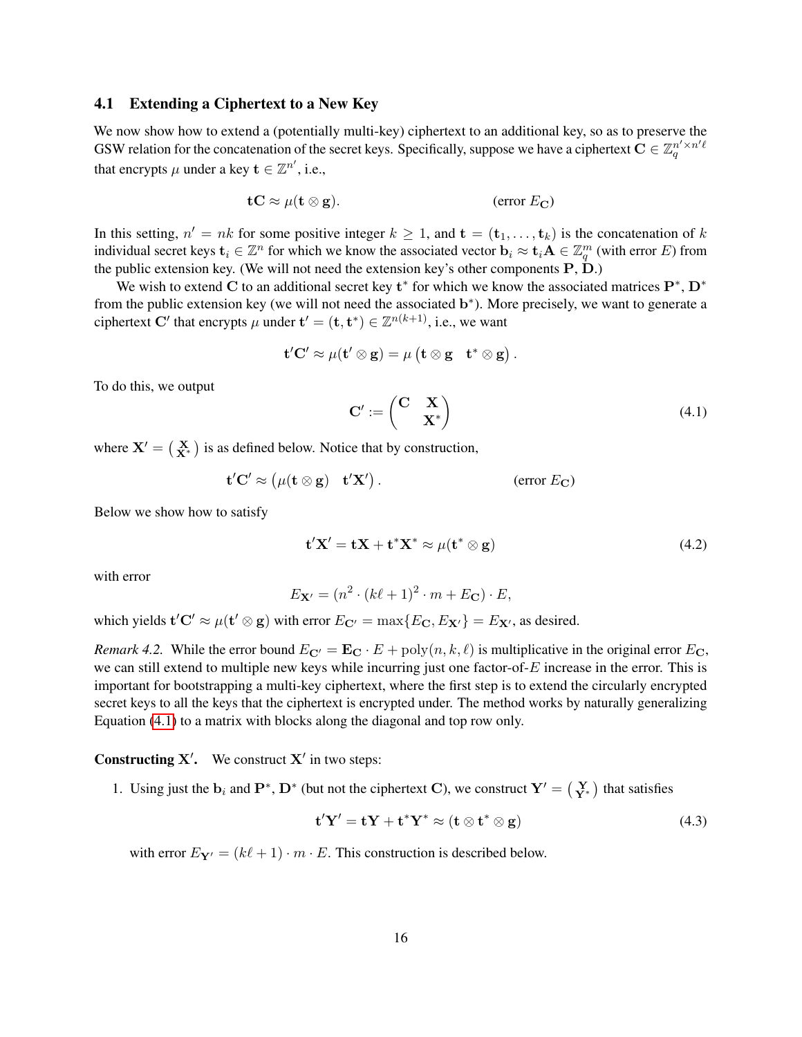### <span id="page-15-0"></span>4.1 Extending a Ciphertext to a New Key

We now show how to extend a (potentially multi-key) ciphertext to an additional key, so as to preserve the GSW relation for the concatenation of the secret keys. Specifically, suppose we have a ciphertext  $C \in \mathbb{Z}_q^{n' \times n' \ell}$ that encrypts  $\mu$  under a key  $\mathbf{t} \in \mathbb{Z}^{n'}$ , i.e.,

$$
\mathbf{t} \mathbf{C} \approx \mu (\mathbf{t} \otimes \mathbf{g}). \tag{error } E_{\mathbf{C}}
$$

In this setting,  $n' = nk$  for some positive integer  $k \ge 1$ , and  $\mathbf{t} = (\mathbf{t}_1, \dots, \mathbf{t}_k)$  is the concatenation of k individual secret keys  $\mathbf{t}_i \in \mathbb{Z}^n$  for which we know the associated vector  $\mathbf{b}_i \approx \mathbf{t}_i \mathbf{A} \in \mathbb{Z}_q^m$  (with error E) from the public extension key. (We will not need the extension key's other components P, D.)

We wish to extend C to an additional secret key  $t^*$  for which we know the associated matrices  $P^*$ ,  $D^*$ from the public extension key (we will not need the associated b<sup>\*</sup>). More precisely, we want to generate a ciphertext C' that encrypts  $\mu$  under  $\mathbf{t}' = (\mathbf{t}, \mathbf{t}^*) \in \mathbb{Z}^{n(k+1)}$ , i.e., we want

$$
\mathbf{t}'\mathbf{C}' \approx \mu(\mathbf{t}' \otimes \mathbf{g}) = \mu(\mathbf{t} \otimes \mathbf{g} \quad \mathbf{t}^* \otimes \mathbf{g}).
$$

To do this, we output

<span id="page-15-3"></span><span id="page-15-1"></span>
$$
\mathbf{C}' := \begin{pmatrix} \mathbf{C} & \mathbf{X} \\ & \mathbf{X}^* \end{pmatrix} \tag{4.1}
$$

where  $X' = \begin{pmatrix} X \\ X^* \end{pmatrix}$  is as defined below. Notice that by construction,

$$
\mathbf{t}'\mathbf{C}' \approx \begin{pmatrix} \mu(\mathbf{t} \otimes \mathbf{g}) & \mathbf{t}'\mathbf{X}' \end{pmatrix}.
$$
 (error  $E_{\mathbf{C}}$ )

Below we show how to satisfy

$$
\mathbf{t}'\mathbf{X}' = \mathbf{t}\mathbf{X} + \mathbf{t}^*\mathbf{X}^* \approx \mu(\mathbf{t}^* \otimes \mathbf{g})
$$
(4.2)

with error

 $E_{\mathbf{X'}} = (n^2 \cdot (k\ell + 1)^2 \cdot m + E_{\mathbf{C}}) \cdot E,$ 

which yields  $\mathbf{t}'\mathbf{C}' \approx \mu(\mathbf{t}' \otimes \mathbf{g})$  with error  $E_{\mathbf{C}'} = \max\{E_{\mathbf{C}}, E_{\mathbf{X}'}\} = E_{\mathbf{X}'}$ , as desired.

*Remark 4.2.* While the error bound  $E_{\mathbf{C'}} = \mathbf{E_C} \cdot E + \text{poly}(n, k, \ell)$  is multiplicative in the original error  $E_{\mathbf{C}}$ , we can still extend to multiple new keys while incurring just one factor-of- $E$  increase in the error. This is important for bootstrapping a multi-key ciphertext, where the first step is to extend the circularly encrypted secret keys to all the keys that the ciphertext is encrypted under. The method works by naturally generalizing Equation [\(4.1\)](#page-15-1) to a matrix with blocks along the diagonal and top row only.

Constructing  $X'$ . We construct  $X'$  in two steps:

1. Using just the  $b_i$  and  $P^*$ ,  $D^*$  (but not the ciphertext C), we construct  $Y' = \begin{pmatrix} Y' \\ Y'' \end{pmatrix}$  that satisfies

<span id="page-15-2"></span>
$$
\mathbf{t}'\mathbf{Y}' = \mathbf{t}\mathbf{Y} + \mathbf{t}^*\mathbf{Y}^* \approx (\mathbf{t} \otimes \mathbf{t}^* \otimes \mathbf{g})
$$
(4.3)

with error  $E_{Y} = (k\ell + 1) \cdot m \cdot E$ . This construction is described below.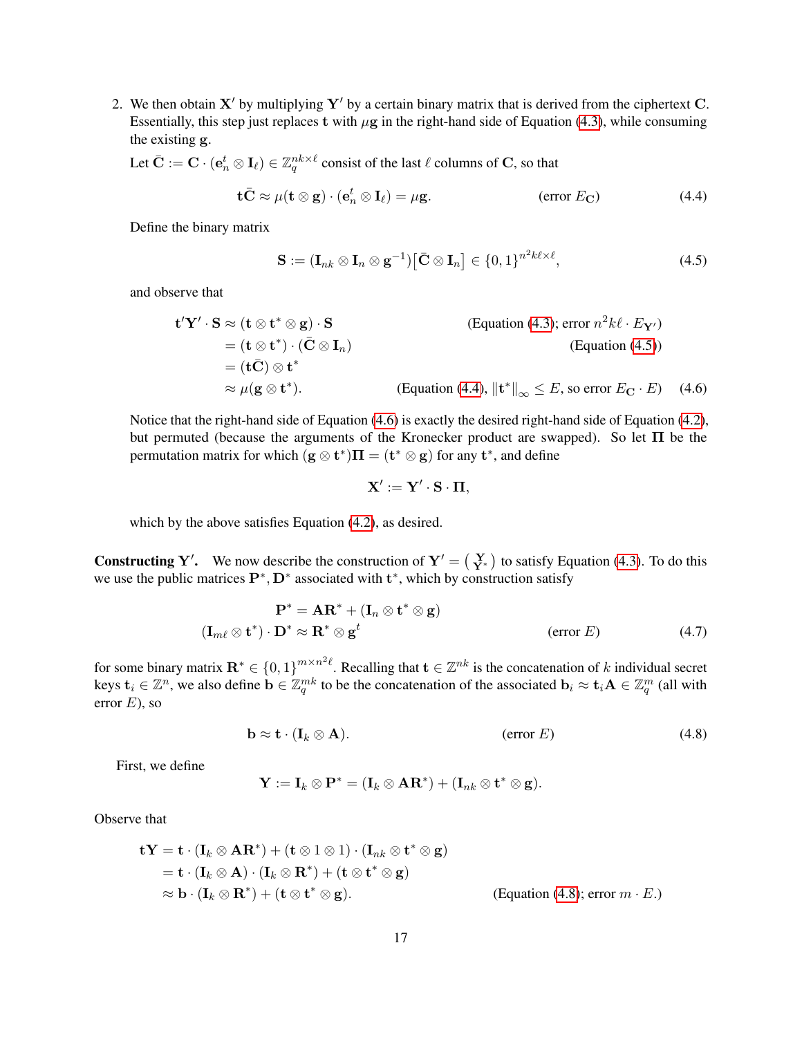2. We then obtain  $X'$  by multiplying  $Y'$  by a certain binary matrix that is derived from the ciphertext C. Essentially, this step just replaces t with  $\mu$ g in the right-hand side of Equation [\(4.3\)](#page-15-2), while consuming the existing g.

Let  $\bar{\mathbf{C}} := \mathbf{C} \cdot (\mathbf{e}_n^t \otimes \mathbf{I}_{\ell}) \in \mathbb{Z}_q^{nk \times \ell}$  consist of the last  $\ell$  columns of  $\mathbf{C}$ , so that

$$
\mathbf{t}\bar{\mathbf{C}} \approx \mu(\mathbf{t}\otimes \mathbf{g}) \cdot (\mathbf{e}_n^t \otimes \mathbf{I}_\ell) = \mu \mathbf{g}.
$$
 (error  $E_{\mathbf{C}}$ ) (4.4)

Define the binary matrix

<span id="page-16-1"></span>
$$
\mathbf{S} := (\mathbf{I}_{nk} \otimes \mathbf{I}_n \otimes \mathbf{g}^{-1}) [\bar{\mathbf{C}} \otimes \mathbf{I}_n] \in \{0,1\}^{n^2 k \ell \times \ell}, \tag{4.5}
$$

and observe that

$$
\mathbf{t}'\mathbf{Y}' \cdot \mathbf{S} \approx (\mathbf{t} \otimes \mathbf{t}^* \otimes \mathbf{g}) \cdot \mathbf{S}
$$
 (Equation (4.3); error  $n^2k\ell \cdot E_{\mathbf{Y}'}$ )  
\n
$$
= (\mathbf{t} \otimes \mathbf{t}^*) \cdot (\bar{\mathbf{C}} \otimes \mathbf{I}_n)
$$
 (Equation (4.5))  
\n
$$
\approx \mu(\mathbf{g} \otimes \mathbf{t}^*).
$$
 (Equation (4.4),  $||\mathbf{t}^*||_{\infty} \leq E$ , so error  $E_{\mathbf{C}} \cdot E$ ) (4.6)

Notice that the right-hand side of Equation [\(4.6\)](#page-16-2) is exactly the desired right-hand side of Equation [\(4.2\)](#page-15-3), but permuted (because the arguments of the Kronecker product are swapped). So let  $\Pi$  be the permutation matrix for which  $(g \otimes t^*)\Pi = (t^* \otimes g)$  for any  $t^*$ , and define

<span id="page-16-4"></span><span id="page-16-3"></span><span id="page-16-2"></span><span id="page-16-0"></span>
$$
\mathbf{X}':=\mathbf{Y}'\cdot\mathbf{S}\cdot\mathbf{\Pi},
$$

which by the above satisfies Equation [\(4.2\)](#page-15-3), as desired.

**Constructing Y'.** We now describe the construction of  $Y' = \begin{pmatrix} Y' \\ Y'' \end{pmatrix}$  to satisfy Equation [\(4.3\)](#page-15-2). To do this we use the public matrices  $\mathbf{P}^*, \mathbf{D}^*$  associated with  $\mathbf{t}^*$ , which by construction satisfy

$$
\mathbf{P}^* = \mathbf{A}\mathbf{R}^* + (\mathbf{I}_n \otimes \mathbf{t}^* \otimes \mathbf{g})
$$
  

$$
(\mathbf{I}_{m\ell} \otimes \mathbf{t}^*) \cdot \mathbf{D}^* \approx \mathbf{R}^* \otimes \mathbf{g}^t
$$
 (error *E*) (4.7)

for some binary matrix  $\mathbf{R}^* \in \{0,1\}^{m \times n^2 \ell}$ . Recalling that  $\mathbf{t} \in \mathbb{Z}^{nk}$  is the concatenation of k individual secret keys  $\mathbf{t}_i \in \mathbb{Z}^n$ , we also define  $\mathbf{b} \in \mathbb{Z}_q^{mk}$  to be the concatenation of the associated  $\mathbf{b}_i \approx \mathbf{t}_i \mathbf{A} \in \mathbb{Z}_q^m$  (all with error  $E$ ), so

 $\mathbf{b} \approx \mathbf{t} \cdot (\mathbf{I}_k \otimes \mathbf{A}).$  (error E) (4.8)

First, we define

$$
\mathbf{Y} := \mathbf{I}_k \otimes \mathbf{P}^* = (\mathbf{I}_k \otimes \mathbf{A} \mathbf{R}^*) + (\mathbf{I}_{nk} \otimes \mathbf{t}^* \otimes \mathbf{g}).
$$

Observe that

$$
\mathbf{t}\mathbf{Y} = \mathbf{t} \cdot (\mathbf{I}_k \otimes \mathbf{A}\mathbf{R}^*) + (\mathbf{t} \otimes 1 \otimes 1) \cdot (\mathbf{I}_{nk} \otimes \mathbf{t}^* \otimes \mathbf{g})
$$
  
=  $\mathbf{t} \cdot (\mathbf{I}_k \otimes \mathbf{A}) \cdot (\mathbf{I}_k \otimes \mathbf{R}^*) + (\mathbf{t} \otimes \mathbf{t}^* \otimes \mathbf{g})$   
 $\approx \mathbf{b} \cdot (\mathbf{I}_k \otimes \mathbf{R}^*) + (\mathbf{t} \otimes \mathbf{t}^* \otimes \mathbf{g}).$  (Equation (4.8); error  $m \cdot E$ .)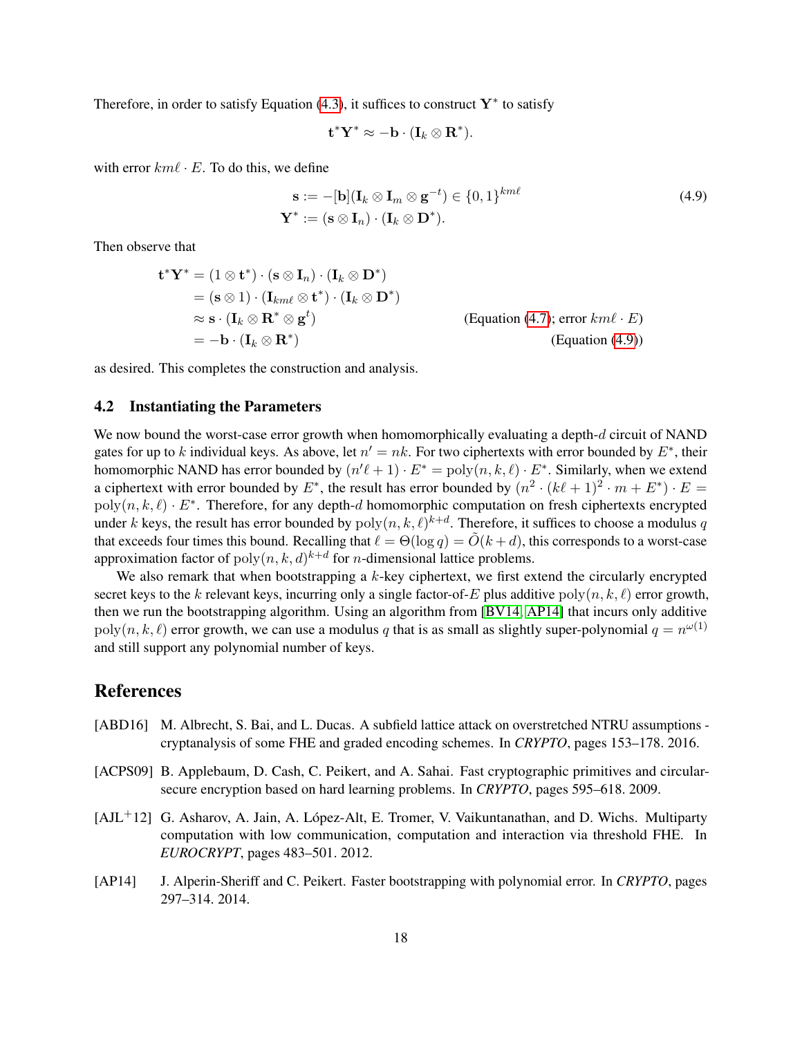Therefore, in order to satisfy Equation [\(4.3\)](#page-15-2), it suffices to construct  $Y^*$  to satisfy

<span id="page-17-4"></span>
$$
\mathbf{t}^*\mathbf{Y}^*\approx-\mathbf{b}\cdot(\mathbf{I}_k\otimes\mathbf{R}^*).
$$

with error  $km\ell \cdot E$ . To do this, we define

$$
\mathbf{s} := -[\mathbf{b}](\mathbf{I}_k \otimes \mathbf{I}_m \otimes \mathbf{g}^{-t}) \in \{0, 1\}^{kml}
$$
  

$$
\mathbf{Y}^* := (\mathbf{s} \otimes \mathbf{I}_n) \cdot (\mathbf{I}_k \otimes \mathbf{D}^*).
$$
 (4.9)

Then observe that

$$
\mathbf{t}^* \mathbf{Y}^* = (1 \otimes \mathbf{t}^*) \cdot (\mathbf{s} \otimes \mathbf{I}_n) \cdot (\mathbf{I}_k \otimes \mathbf{D}^*)
$$
  
\n
$$
= (\mathbf{s} \otimes 1) \cdot (\mathbf{I}_{km\ell} \otimes \mathbf{t}^*) \cdot (\mathbf{I}_k \otimes \mathbf{D}^*)
$$
  
\n
$$
\approx \mathbf{s} \cdot (\mathbf{I}_k \otimes \mathbf{R}^* \otimes \mathbf{g}^t)
$$
  
\n
$$
= -\mathbf{b} \cdot (\mathbf{I}_k \otimes \mathbf{R}^*)
$$
 (Equation (4.7); error km\ell \cdot E)  
\n
$$
= -\mathbf{b} \cdot (\mathbf{I}_k \otimes \mathbf{R}^*)
$$

as desired. This completes the construction and analysis.

## 4.2 Instantiating the Parameters

We now bound the worst-case error growth when homomorphically evaluating a depth- $d$  circuit of NAND gates for up to k individual keys. As above, let  $n' = nk$ . For two ciphertexts with error bounded by  $E^*$ , their homomorphic NAND has error bounded by  $(n<sup>l</sup>l + 1) \cdot E^* = poly(n, k, l) \cdot E^*$ . Similarly, when we extend a ciphertext with error bounded by  $E^*$ , the result has error bounded by  $(n^2 \cdot (k\ell + 1)^2 \cdot m + E^*) \cdot E =$  $poly(n, k, \ell) \cdot E^*$ . Therefore, for any depth-d homomorphic computation on fresh ciphertexts encrypted under k keys, the result has error bounded by  $\mathrm{poly}(n, k, \ell)^{k+d}$ . Therefore, it suffices to choose a modulus  $q$ that exceeds four times this bound. Recalling that  $\ell = \Theta(\log q) = \tilde{O}(k + d)$ , this corresponds to a worst-case approximation factor of  $poly(n, k, d)^{k+d}$  for *n*-dimensional lattice problems.

We also remark that when bootstrapping a  $k$ -key ciphertext, we first extend the circularly encrypted secret keys to the k relevant keys, incurring only a single factor-of-E plus additive poly $(n, k, \ell)$  error growth, then we run the bootstrapping algorithm. Using an algorithm from [\[BV14,](#page-18-15) [AP14\]](#page-17-3) that incurs only additive  $poly(n, k, \ell)$  error growth, we can use a modulus q that is as small as slightly super-polynomial  $q = n^{\omega(1)}$ and still support any polynomial number of keys.

# References

- <span id="page-17-1"></span>[ABD16] M. Albrecht, S. Bai, and L. Ducas. A subfield lattice attack on overstretched NTRU assumptions cryptanalysis of some FHE and graded encoding schemes. In *CRYPTO*, pages 153–178. 2016.
- <span id="page-17-2"></span>[ACPS09] B. Applebaum, D. Cash, C. Peikert, and A. Sahai. Fast cryptographic primitives and circularsecure encryption based on hard learning problems. In *CRYPTO*, pages 595–618. 2009.
- <span id="page-17-0"></span>[AJL<sup>+</sup>12] G. Asharov, A. Jain, A. López-Alt, E. Tromer, V. Vaikuntanathan, and D. Wichs. Multiparty computation with low communication, computation and interaction via threshold FHE. In *EUROCRYPT*, pages 483–501. 2012.
- <span id="page-17-3"></span>[AP14] J. Alperin-Sheriff and C. Peikert. Faster bootstrapping with polynomial error. In *CRYPTO*, pages 297–314. 2014.